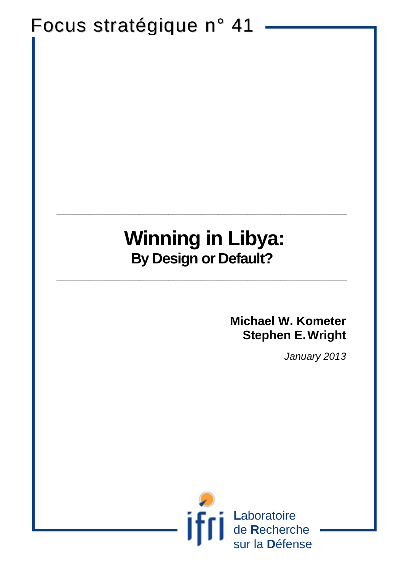# Focus stratégique n° 41

## **Winning in Libya: By Design or Default?**

**\_\_\_\_\_\_\_\_\_\_\_\_\_\_\_\_\_\_\_\_\_\_\_\_\_\_\_\_\_\_\_\_\_\_\_\_\_\_\_\_\_\_\_\_\_\_\_\_\_\_\_\_\_\_\_\_\_\_\_\_\_\_\_\_\_\_\_\_\_\_**

**\_\_\_\_\_\_\_\_\_\_\_\_\_\_\_\_\_\_\_\_\_\_\_\_\_\_\_\_\_\_\_\_\_\_\_\_\_\_\_\_\_\_\_\_\_\_\_\_\_\_\_\_\_\_\_\_\_\_\_\_\_\_\_\_\_\_\_\_\_\_**

### **Michael W. Kometer Stephen E.Wright**

*January 2013*

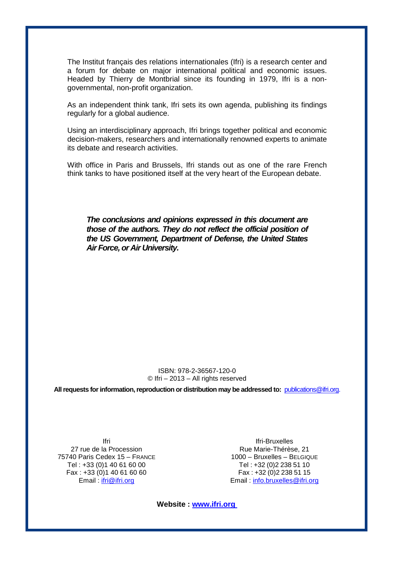The Institut français des relations internationales (Ifri) is a research center and a forum for debate on major international political and economic issues. Headed by Thierry de Montbrial since its founding in 1979, Ifri is a nongovernmental, non-profit organization.

As an independent think tank, Ifri sets its own agenda, publishing its findings regularly for a global audience.

Using an interdisciplinary approach, Ifri brings together political and economic decision-makers, researchers and internationally renowned experts to animate its debate and research activities.

With office in Paris and Brussels, Ifri stands out as one of the rare French think tanks to have positioned itself at the very heart of the European debate.

*The conclusions and opinions expressed in this document are those of the authors. They do not reflect the official position of the US Government, Department of Defense, the United States Air Force, or Air University.*

#### ISBN: 978-2-36567-120-0 © Ifri – 2013 – All rights reserved

**All requests for information, reproduction or distribution may be addressed to:** [publications@ifri.org.](mailto:publications@ifri.org)

Ifri 27 rue de la Procession 75740 Paris Cedex 15 – FRANCE Tel : +33 (0)1 40 61 60 00 Fax :  $+33(0)140616060$ Email: [ifri@ifri.org](mailto:ifri@ifri.org)

Ifri-Bruxelles Rue Marie-Thérèse, 21 1000 – Bruxelles – BELGIQUE Tel : +32 (0)2 238 51 10 Fax:  $+32(0)22385115$ Email : [info.bruxelles@ifri.org](mailto:info.bruxelles@ifri.org)

**Website : www.ifri.org**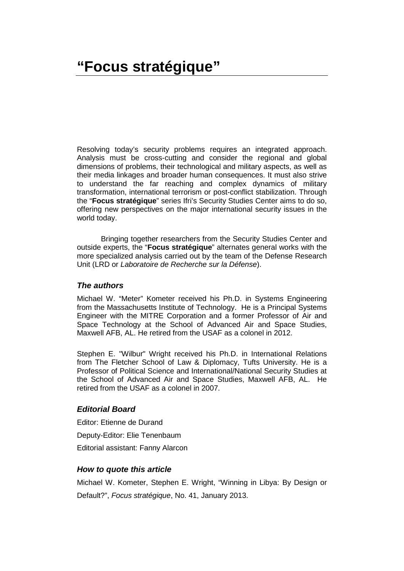Resolving today's security problems requires an integrated approach. Analysis must be cross-cutting and consider the regional and global dimensions of problems, their technological and military aspects, as well as their media linkages and broader human consequences. It must also strive to understand the far reaching and complex dynamics of military transformation, international terrorism or post-conflict stabilization. Through the "**Focus stratégique**" series Ifri's Security Studies Center aims to do so, offering new perspectives on the major international security issues in the world today.

Bringing together researchers from the Security Studies Center and outside experts, the "**Focus stratégique**" alternates general works with the more specialized analysis carried out by the team of the Defense Research Unit (LRD or *Laboratoire de Recherche sur la Défense*).

#### *The authors*

Michael W. "Meter" Kometer received his Ph.D. in Systems Engineering from the Massachusetts Institute of Technology. He is a Principal Systems Engineer with the MITRE Corporation and a former Professor of Air and Space Technology at the School of Advanced Air and Space Studies, Maxwell AFB, AL. He retired from the USAF as a colonel in 2012.

Stephen E. "Wilbur" Wright received his Ph.D. in International Relations from The Fletcher School of Law & Diplomacy, Tufts University. He is a Professor of Political Science and International/National Security Studies at the School of Advanced Air and Space Studies, Maxwell AFB, AL. He retired from the USAF as a colonel in 2007.

### *Editorial Board*

Editor: Etienne de Durand Deputy-Editor: Elie Tenenbaum Editorial assistant: Fanny Alarcon

### *How to quote this article*

Michael W. Kometer, Stephen E. Wright, "Winning in Libya: By Design or Default?", *Focus stratégique*, No. 41, January 2013.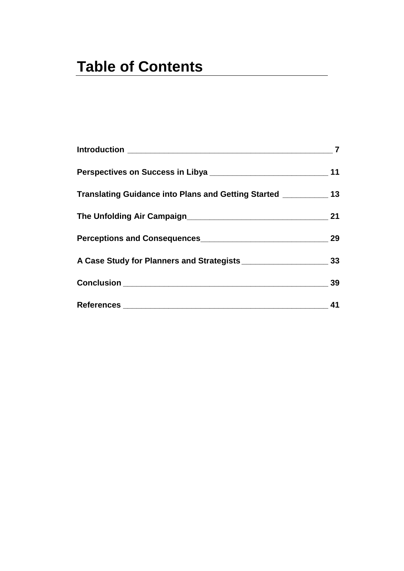### **Table of Contents**

| Perspectives on Success in Libya _____________________________<br>Translating Guidance into Plans and Getting Started ___________ 13 | 11<br>21 |  |    |
|--------------------------------------------------------------------------------------------------------------------------------------|----------|--|----|
|                                                                                                                                      |          |  | 29 |
|                                                                                                                                      |          |  |    |
|                                                                                                                                      | 39       |  |    |
|                                                                                                                                      | 41       |  |    |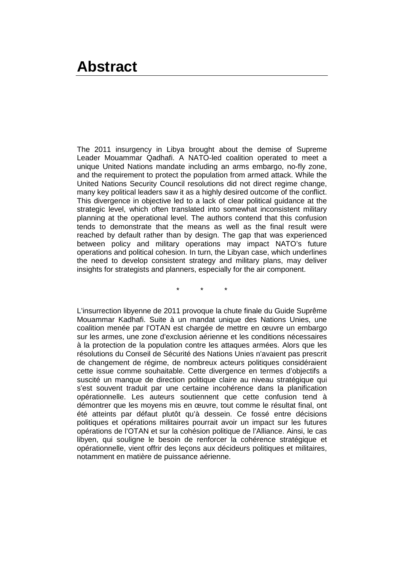The 2011 insurgency in Libya brought about the demise of Supreme Leader Mouammar Qadhafi. A NATO-led coalition operated to meet a unique United Nations mandate including an arms embargo, no-fly zone, and the requirement to protect the population from armed attack. While the United Nations Security Council resolutions did not direct regime change, many key political leaders saw it as a highly desired outcome of the conflict. This divergence in objective led to a lack of clear political guidance at the strategic level, which often translated into somewhat inconsistent military planning at the operational level. The authors contend that this confusion tends to demonstrate that the means as well as the final result were reached by default rather than by design. The gap that was experienced between policy and military operations may impact NATO's future operations and political cohesion. In turn, the Libyan case, which underlines the need to develop consistent strategy and military plans, may deliver insights for strategists and planners, especially for the air component.

\* \* \*

L'insurrection libyenne de 2011 provoque la chute finale du Guide Suprême Mouammar Kadhafi. Suite à un mandat unique des Nations Unies, une coalition menée par l'OTAN est chargée de mettre en œuvre un embargo sur les armes, une zone d'exclusion aérienne et les conditions nécessaires à la protection de la population contre les attaques armées. Alors que les résolutions du Conseil de Sécurité des Nations Unies n'avaient pas prescrit de changement de régime, de nombreux acteurs politiques considéraient cette issue comme souhaitable. Cette divergence en termes d'objectifs a suscité un manque de direction politique claire au niveau stratégique qui s'est souvent traduit par une certaine incohérence dans la planification opérationnelle. Les auteurs soutiennent que cette confusion tend à démontrer que les moyens mis en œuvre, tout comme le résultat final, ont été atteints par défaut plutôt qu'à dessein. Ce fossé entre décisions politiques et opérations militaires pourrait avoir un impact sur les futures opérations de l'OTAN et sur la cohésion politique de l'Alliance. Ainsi, le cas libyen, qui souligne le besoin de renforcer la cohérence stratégique et opérationnelle, vient offrir des leçons aux décideurs politiques et militaires, notamment en matière de puissance aérienne.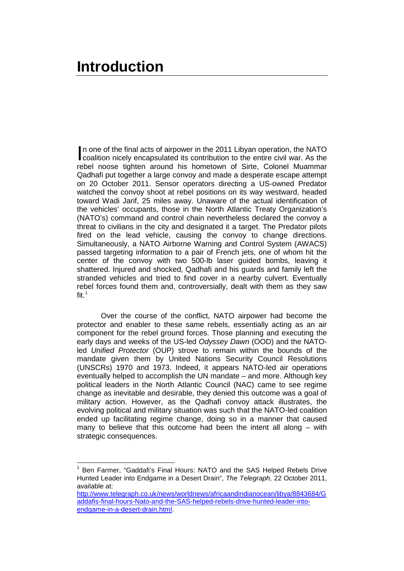<span id="page-8-0"></span>n one of the final acts of airpower in the 2011 Libyan operation, the NATO In one of the final acts of airpower in the 2011 Libyan operation, the NATO<br>coalition nicely encapsulated its contribution to the entire civil war. As the<br>state of the contribution of Civil Colored Museums rebel noose tighten around his hometown of Sirte, Colonel Muammar Qadhafi put together a large convoy and made a desperate escape attempt on 20 October 2011. Sensor operators directing a US-owned Predator watched the convoy shoot at rebel positions on its way westward, headed toward Wadi Jarif, 25 miles away. Unaware of the actual identification of the vehicles' occupants, those in the North Atlantic Treaty Organization's (NATO's) command and control chain nevertheless declared the convoy a threat to civilians in the city and designated it a target. The Predator pilots fired on the lead vehicle, causing the convoy to change directions. Simultaneously, a NATO Airborne Warning and Control System (AWACS) passed targeting information to a pair of French jets, one of whom hit the center of the convoy with two 500-lb laser guided bombs, leaving it shattered. Injured and shocked, Qadhafi and his guards and family left the stranded vehicles and tried to find cover in a nearby culvert. Eventually rebel forces found them and, controversially, dealt with them as they saw fit. $1$ 

Over the course of the conflict, NATO airpower had become the protector and enabler to these same rebels, essentially acting as an air component for the rebel ground forces. Those planning and executing the early days and weeks of the US-led *Odyssey Dawn* (OOD) and the NATOled *Unified Protector* (OUP) strove to remain within the bounds of the mandate given them by United Nations Security Council Resolutions (UNSCRs) 1970 and 1973. Indeed, it appears NATO-led air operations eventually helped to accomplish the UN mandate – and more. Although key political leaders in the North Atlantic Council (NAC) came to see regime change as inevitable and desirable, they denied this outcome was a goal of military action. However, as the Qadhafi convoy attack illustrates, the evolving political and military situation was such that the NATO-led coalition ended up facilitating regime change, doing so in a manner that caused many to believe that this outcome had been the intent all along – with strategic consequences.

<span id="page-8-1"></span><sup>1</sup> Ben Farmer, "Gaddafi's Final Hours: NATO and the SAS Helped Rebels Drive Hunted Leader into Endgame in a Desert Drain", *The Telegraph,* 22 October 2011, available at:

[http://www.telegraph.co.uk/news/worldnews/africaandindianocean/libya/8843684/G](http://www.telegraph.co.uk/news/worldnews/africaandindianocean/libya/8843684/Gaddafis-final-hours-Nato-and-the-SAS-helped-rebels-drive-hunted-leader-into-endgame-in-a-desert-drain.html) [addafis-final-hours-Nato-and-the-SAS-helped-rebels-drive-hunted-leader-into](http://www.telegraph.co.uk/news/worldnews/africaandindianocean/libya/8843684/Gaddafis-final-hours-Nato-and-the-SAS-helped-rebels-drive-hunted-leader-into-endgame-in-a-desert-drain.html)[endgame-in-a-desert-drain.html.](http://www.telegraph.co.uk/news/worldnews/africaandindianocean/libya/8843684/Gaddafis-final-hours-Nato-and-the-SAS-helped-rebels-drive-hunted-leader-into-endgame-in-a-desert-drain.html)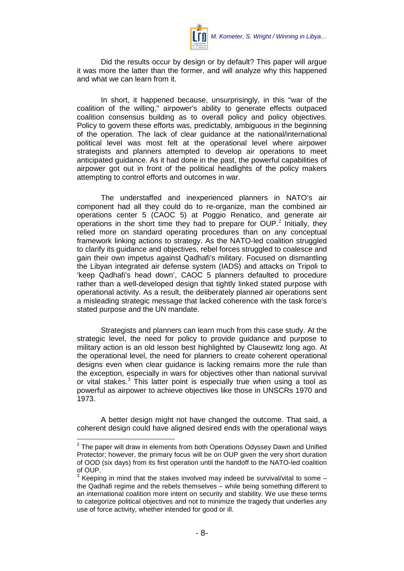

Did the results occur by design or by default? This paper will argue it was more the latter than the former, and will analyze why this happened and what we can learn from it.

In short, it happened because, unsurprisingly, in this "war of the coalition of the willing," airpower's ability to generate effects outpaced coalition consensus building as to overall policy and policy objectives. Policy to govern these efforts was, predictably, ambiguous in the beginning of the operation. The lack of clear guidance at the national/international political level was most felt at the operational level where airpower strategists and planners attempted to develop air operations to meet anticipated guidance. As it had done in the past, the powerful capabilities of airpower got out in front of the political headlights of the policy makers attempting to control efforts and outcomes in war.

The understaffed and inexperienced planners in NATO's air component had all they could do to re-organize, man the combined air operations center 5 (CAOC 5) at Poggio Renatico, and generate air operations in the short time they had to prepare for  $OUP.^2$  $OUP.^2$  Initially, they relied more on standard operating procedures than on any conceptual framework linking actions to strategy. As the NATO-led coalition struggled to clarify its guidance and objectives, rebel forces struggled to coalesce and gain their own impetus against Qadhafi's military. Focused on dismantling the Libyan integrated air defense system (IADS) and attacks on Tripoli to 'keep Qadhafi's head down', CAOC 5 planners defaulted to procedure rather than a well-developed design that tightly linked stated purpose with operational activity. As a result, the deliberately planned air operations sent a misleading strategic message that lacked coherence with the task force's stated purpose and the UN mandate.

Strategists and planners can learn much from this case study. At the strategic level, the need for policy to provide guidance and purpose to military action is an old lesson best highlighted by Clausewitz long ago. At the operational level, the need for planners to create coherent operational designs even when clear guidance is lacking remains more the rule than the exception, especially in wars for objectives other than national survival or vital stakes.<sup>[3](#page-9-1)</sup> This latter point is especially true when using a tool as powerful as airpower to achieve objectives like those in UNSCRs 1970 and 1973.

A better design might not have changed the outcome. That said, a coherent design could have aligned desired ends with the operational ways

<span id="page-9-0"></span> $2$  The paper will draw in elements from both Operations Odyssey Dawn and Unified Protector; however, the primary focus will be on OUP given the very short duration of OOD (six days) from its first operation until the handoff to the NATO-led coalition of OUP.

<span id="page-9-1"></span>Keeping in mind that the stakes involved may indeed be survival/vital to some – the Qadhafi regime and the rebels themselves – while being something different to an international coalition more intent on security and stability. We use these terms to categorize political objectives and not to minimize the tragedy that underlies any use of force activity, whether intended for good or ill.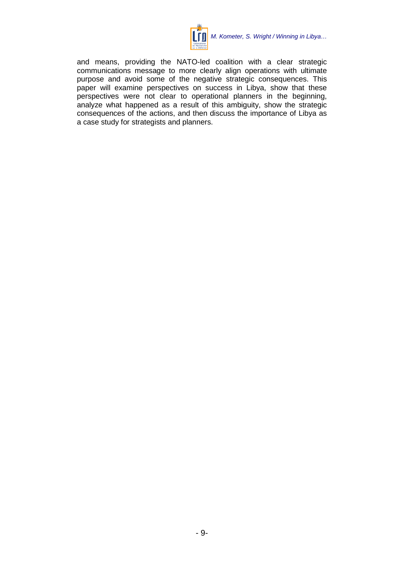

and means, providing the NATO-led coalition with a clear strategic communications message to more clearly align operations with ultimate purpose and avoid some of the negative strategic consequences. This paper will examine perspectives on success in Libya, show that these perspectives were not clear to operational planners in the beginning, analyze what happened as a result of this ambiguity, show the strategic consequences of the actions, and then discuss the importance of Libya as a case study for strategists and planners.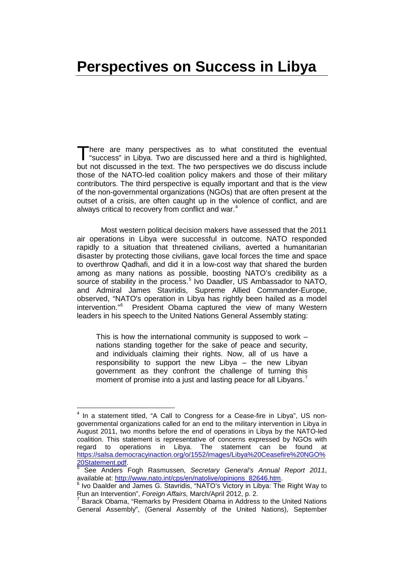### <span id="page-12-0"></span>**Perspectives on Success in Libya**

here are many perspectives as to what constituted the eventual "success" in Libya. Two are discussed here and a third is highlighted, but not discussed in the text. The two perspectives we do discuss include those of the NATO-led coalition policy makers and those of their military contributors. The third perspective is equally important and that is the view of the non-governmental organizations (NGOs) that are often present at the outset of a crisis, are often caught up in the violence of conflict, and are always critical to recovery from conflict and war.<sup>[4](#page-12-1)</sup> T

Most western political decision makers have assessed that the 2011 air operations in Libya were successful in outcome. NATO responded rapidly to a situation that threatened civilians, averted a humanitarian disaster by protecting those civilians, gave local forces the time and space to overthrow Qadhafi, and did it in a low-cost way that shared the burden among as many nations as possible, boosting NATO's credibility as a source of stability in the process.<sup>[5](#page-12-2)</sup> Ivo Daadler, US Ambassador to NATO, and Admiral James Stavridis, Supreme Allied Commander-Europe, observed, "NATO's operation in Libya has rightly been hailed as a model intervention."[6](#page-12-3) President Obama captured the view of many Western leaders in his speech to the United Nations General Assembly stating:

This is how the international community is supposed to work – nations standing together for the sake of peace and security, and individuals claiming their rights. Now, all of us have a responsibility to support the new Libya – the new Libyan government as they confront the challenge of turning this moment of promise into a just and lasting peace for all Libyans.<sup>[7](#page-12-4)</sup>

<span id="page-12-1"></span><sup>&</sup>lt;sup>4</sup> In a statement titled, "A Call to Congress for a Cease-fire in Libya", US nongovernmental organizations called for an end to the military intervention in Libya in August 2011, two months before the end of operations in Libya by the NATO-led coalition. This statement is representative of concerns expressed by NGOs with regard to operations in Libya. The statement can be found at [https://salsa.democracyinaction.org/o/1552/images/Libya%20Ceasefire%20NGO%](https://salsa.democracyinaction.org/o/1552/images/Libya%20Ceasefire%20NGO%20Statement.pdf)

<span id="page-12-2"></span>[<sup>20</sup>Statement.pdf.](https://salsa.democracyinaction.org/o/1552/images/Libya%20Ceasefire%20NGO%20Statement.pdf)<br><sup>5</sup> See Anders Fogh Rasmussen, *Secretary General's Annual Report 2011*, available at: http://www.nato.int/cps/en/natolive/opinions 82646.htm.

<span id="page-12-3"></span> $6$  Ivo Daalder and James G. Stavridis, "NATO's Victory in Libya: The Right Way to Run an Intervention", *Foreign Affairs*, March/April 2012, p. 2.

<span id="page-12-4"></span>Barack Obama, "Remarks by President Obama in Address to the United Nations General Assembly", (General Assembly of the United Nations), September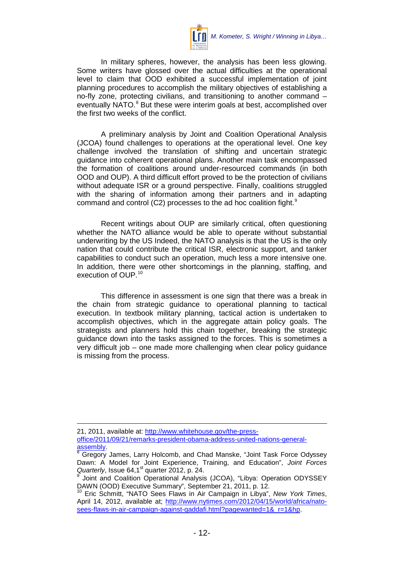

In military spheres, however, the analysis has been less glowing. Some writers have glossed over the actual difficulties at the operational level to claim that OOD exhibited a successful implementation of joint planning procedures to accomplish the military objectives of establishing a no-fly zone, protecting civilians, and transitioning to another command – eventually NATO.<sup>[8](#page-13-0)</sup> But these were interim goals at best, accomplished over the first two weeks of the conflict.

A preliminary analysis by Joint and Coalition Operational Analysis (JCOA) found challenges to operations at the operational level. One key challenge involved the translation of shifting and uncertain strategic guidance into coherent operational plans. Another main task encompassed the formation of coalitions around under-resourced commands (in both OOD and OUP). A third difficult effort proved to be the protection of civilians without adequate ISR or a ground perspective. Finally, coalitions struggled with the sharing of information among their partners and in adapting command and control (C2) processes to the ad hoc coalition fight.<sup>[9](#page-13-1)</sup>

Recent writings about OUP are similarly critical, often questioning whether the NATO alliance would be able to operate without substantial underwriting by the US Indeed, the NATO analysis is that the US is the only nation that could contribute the critical ISR, electronic support, and tanker capabilities to conduct such an operation, much less a more intensive one. In addition, there were other shortcomings in the planning, staffing, and execution of OUP.<sup>[10](#page-13-2)</sup>

This difference in assessment is one sign that there was a break in the chain from strategic guidance to operational planning to tactical execution. In textbook military planning, tactical action is undertaken to accomplish objectives, which in the aggregate attain policy goals. The strategists and planners hold this chain together, breaking the strategic guidance down into the tasks assigned to the forces. This is sometimes a very difficult job – one made more challenging when clear policy guidance is missing from the process.

 $\overline{a}$ 

<sup>21, 2011,</sup> available at: [http://www.whitehouse.gov/the-press-](http://www.whitehouse.gov/the-press-office/2011/09/21/remarks-president-obama-address-united-nations-general-assembly)

office/2011/09/21/remarks-president-obama-address-united-nations-general-<br>assembly.<br><sup>8</sup> Gregory, James, Jamy Halassky, City (1988)

<span id="page-13-0"></span>Gregory James, Larry Holcomb, and Chad Manske, "Joint Task Force Odyssey Dawn: A Model for Joint Experience, Training, and Education", *Joint Forces* 

<span id="page-13-1"></span>Joint and Coalition Operational Analysis (JCOA), "Libya: Operation ODYSSEY DAWN (OOD) Executive Summary", September 21, 2011, p. 12.

<span id="page-13-2"></span><sup>10</sup> Eric Schmitt, "NATO Sees Flaws in Air Campaign in Libya", *New York Times*, April 14, 2012, available at; [http://www.nytimes.com/2012/04/15/world/africa/nato](http://www.nytimes.com/2012/04/15/world/africa/nato-sees-flaws-in-air-campaign-against-qaddafi.html?pagewanted=1&_r=1&hp)sees-flaws-in-air-campaign-against-gaddafi.html?pagewanted=1&\_r=1&hp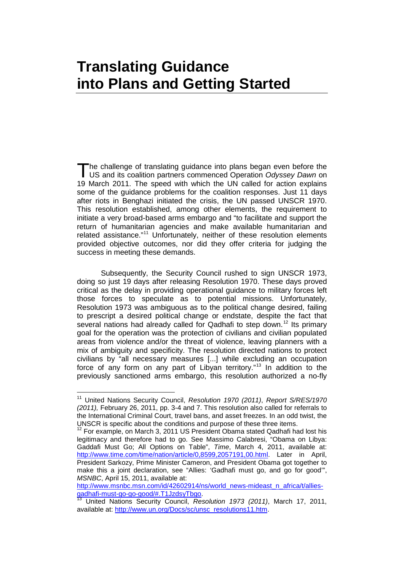### <span id="page-14-0"></span>**Translating Guidance into Plans and Getting Started**

he challenge of translating guidance into plans began even before the The challenge of translating guidance into plans began even before the US and its coalition partners commenced Operation *Odyssey Dawn* on 19 March 2011. The speed with which the UN called for action explains some of the guidance problems for the coalition responses. Just 11 days after riots in Benghazi initiated the crisis, the UN passed UNSCR 1970. This resolution established, among other elements, the requirement to initiate a very broad-based arms embargo and "to facilitate and support the return of humanitarian agencies and make available humanitarian and related assistance."<sup>[11](#page-14-1)</sup> Unfortunately, neither of these resolution elements provided objective outcomes, nor did they offer criteria for judging the success in meeting these demands.

Subsequently, the Security Council rushed to sign UNSCR 1973, doing so just 19 days after releasing Resolution 1970. These days proved critical as the delay in providing operational guidance to military forces left those forces to speculate as to potential missions. Unfortunately, Resolution 1973 was ambiguous as to the political change desired, failing to prescript a desired political change or endstate, despite the fact that several nations had already called for Qadhafi to step down.<sup>[12](#page-14-2)</sup> Its primary goal for the operation was the protection of civilians and civilian populated areas from violence and/or the threat of violence, leaving planners with a mix of ambiguity and specificity. The resolution directed nations to protect civilians by "all necessary measures [...] while excluding an occupation force of any form on any part of Libyan territory."<sup>[13](#page-14-3)</sup> In addition to the previously sanctioned arms embargo, this resolution authorized a no-fly

<span id="page-14-1"></span><sup>11</sup> United Nations Security Council, *Resolution 1970 (2011)*, *Report S/RES/1970 (2011),* February 26, 2011, pp. 3-4 and 7. This resolution also called for referrals to the International Criminal Court, travel bans, and asset freezes. In an odd twist, the UNSCR is specific about the conditions and purpose of these three items.<br><sup>12</sup> For example, on March 2, 2014, US D

<span id="page-14-2"></span><sup>12</sup> For example, on March 3, 2011 US President Obama stated Qadhafi had lost his legitimacy and therefore had to go. See Massimo Calabresi, "Obama on Libya: Gaddafi Must Go; All Options on Table", *Time*, March 4, 2011, available at: [http://www.time.com/time/nation/article/0,8599,2057191,00.html.](http://www.time.com/time/nation/article/0,8599,2057191,00.html) Later in April, President Sarkozy, Prime Minister Cameron, and President Obama got together to make this a joint declaration, see "Allies: 'Gadhafi must go, and go for good'", *MSNBC*, April 15, 2011, available at:

http://www.msnbc.msn.com/id/42602914/ns/world\_news-mideast\_n\_africa/t/allies-<br>gadhafi-must-go-go-good/#.T1JzdsyTbgo.<br><sup>13</sup>. United Nations - Nations -

<span id="page-14-3"></span>United Nations Security Council, *Resolution 1973 (2011)*, March 17, 2011, available at: [http://www.un.org/Docs/sc/unsc\\_resolutions11.htm.](http://www.un.org/Docs/sc/unsc_resolutions11.htm)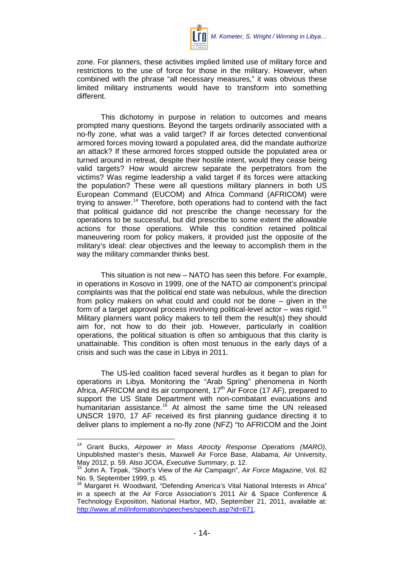

zone. For planners, these activities implied limited use of military force and restrictions to the use of force for those in the military. However, when combined with the phrase "all necessary measures," it was obvious these limited military instruments would have to transform into something different.

This dichotomy in purpose in relation to outcomes and means prompted many questions. Beyond the targets ordinarily associated with a no-fly zone, what was a valid target? If air forces detected conventional armored forces moving toward a populated area, did the mandate authorize an attack? If these armored forces stopped outside the populated area or turned around in retreat, despite their hostile intent, would they cease being valid targets? How would aircrew separate the perpetrators from the victims? Was regime leadership a valid target if its forces were attacking the population? These were all questions military planners in both US European Command (EUCOM) and Africa Command (AFRICOM) were trying to answer.<sup>[14](#page-15-0)</sup> Therefore, both operations had to contend with the fact that political guidance did not prescribe the change necessary for the operations to be successful, but did prescribe to some extent the allowable actions for those operations. While this condition retained political maneuvering room for policy makers, it provided just the opposite of the military's ideal: clear objectives and the leeway to accomplish them in the way the military commander thinks best.

This situation is not new – NATO has seen this before. For example, in operations in Kosovo in 1999, one of the NATO air component's principal complaints was that the political end state was nebulous, while the direction from policy makers on what could and could not be done – given in the form of a target approval process involving political-level actor – was rigid.<sup>[15](#page-15-1)</sup> Military planners want policy makers to tell them the result(s) they should aim for, not how to do their job. However, particularly in coalition operations, the political situation is often so ambiguous that this clarity is unattainable. This condition is often most tenuous in the early days of a crisis and such was the case in Libya in 2011.

The US-led coalition faced several hurdles as it began to plan for operations in Libya. Monitoring the "Arab Spring" phenomena in North Africa, AFRICOM and its air component,  $17<sup>th</sup>$  Air Force (17 AF), prepared to support the US State Department with non-combatant evacuations and humanitarian assistance.<sup>[16](#page-15-2)</sup> At almost the same time the UN released UNSCR 1970, 17 AF received its first planning guidance directing it to deliver plans to implement a no-fly zone (NFZ) "to AFRICOM and the Joint

<span id="page-15-0"></span><sup>14</sup> Grant Bucks, *Airpower in Mass Atrocity Response Operations (MARO)*, Unpublished master's thesis, Maxwell Air Force Base, Alabama, Air University, May 2012, p. 59. Also JCOA, *Executive Summary*, p. 12.

<span id="page-15-1"></span><sup>15</sup> John A. Tirpak, "Short's View of the Air Campaign", *Air Force Magazine*, Vol. 82

<span id="page-15-2"></span><sup>&</sup>lt;sup>16</sup> Margaret H. Woodward, "Defending America's Vital National Interests in Africa" in a speech at the Air Force Association's 2011 Air & Space Conference & Technology Exposition, National Harbor, MD, September 21, 2011, available at: [http://www.af.mil/information/speeches/speech.asp?id=671.](http://www.af.mil/information/speeches/speech.asp?id=671)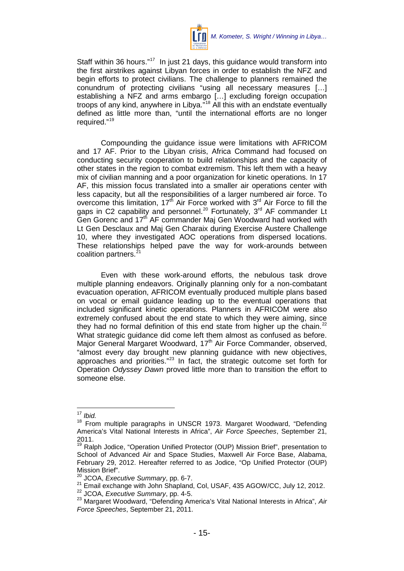

Staff within 36 hours."<sup>[17](#page-16-0)</sup> In just 21 days, this guidance would transform into the first airstrikes against Libyan forces in order to establish the NFZ and begin efforts to protect civilians. The challenge to planners remained the conundrum of protecting civilians "using all necessary measures […] establishing a NFZ and arms embargo […] excluding foreign occupation troops of any kind, anywhere in Libya."[18](#page-16-1) All this with an endstate eventually defined as little more than, "until the international efforts are no longer required."[19](#page-16-2)

Compounding the guidance issue were limitations with AFRICOM and 17 AF. Prior to the Libyan crisis, Africa Command had focused on conducting security cooperation to build relationships and the capacity of other states in the region to combat extremism. This left them with a heavy mix of civilian manning and a poor organization for kinetic operations. In 17 AF, this mission focus translated into a smaller air operations center with less capacity, but all the responsibilities of a larger numbered air force. To overcome this limitation,  $17<sup>th</sup>$  Air Force worked with  $3<sup>rd</sup>$  Air Force to fill the gaps in C2 capability and personnel.<sup>[20](#page-16-3)</sup> Fortunately,  $3<sup>rd</sup>$  AF commander Lt Gen Gorenc and 17<sup>th</sup> AF commander Maj Gen Woodward had worked with Lt Gen Desclaux and Maj Gen Charaix during Exercise Austere Challenge 10, where they investigated AOC operations from dispersed locations. These relationships helped pave the way for work-arounds between coalition partners.<sup>[21](#page-16-4)</sup>

Even with these work-around efforts, the nebulous task drove multiple planning endeavors. Originally planning only for a non-combatant evacuation operation, AFRICOM eventually produced multiple plans based on vocal or email guidance leading up to the eventual operations that included significant kinetic operations. Planners in AFRICOM were also extremely confused about the end state to which they were aiming, since they had no formal definition of this end state from higher up the chain.<sup>[22](#page-16-5)</sup> What strategic guidance did come left them almost as confused as before. Major General Margaret Woodward, 17<sup>th</sup> Air Force Commander, observed, "almost every day brought new planning guidance with new objectives, approaches and priorities."<sup>[23](#page-16-6)</sup> In fact, the strategic outcome set forth for Operation *Odyssey Dawn* proved little more than to transition the effort to someone else.

<span id="page-16-0"></span><sup>17</sup> *Ibid.*

<span id="page-16-1"></span><sup>18</sup> From multiple paragraphs in UNSCR 1973. Margaret Woodward, "Defending America's Vital National Interests in Africa", *Air Force Speeches*, September 21, 2011.

<span id="page-16-2"></span><sup>&</sup>lt;sup>19</sup> Ralph Jodice, "Operation Unified Protector (OUP) Mission Brief", presentation to School of Advanced Air and Space Studies, Maxwell Air Force Base, Alabama, February 29, 2012. Hereafter referred to as Jodice, "Op Unified Protector (OUP) Mission Brief".

JCOA, *Executive Summary*, pp. 6-7.

<span id="page-16-4"></span><span id="page-16-3"></span><sup>21</sup> Email exchange with John Shapland, Col, USAF, 435 AGOW/CC, July 12, 2012.

<span id="page-16-5"></span><sup>22</sup> JCOA, *Executive Summary*, pp. 4-5.

<span id="page-16-6"></span><sup>23</sup> Margaret Woodward, "Defending America's Vital National Interests in Africa", *Air Force Speeches*, September 21, 2011.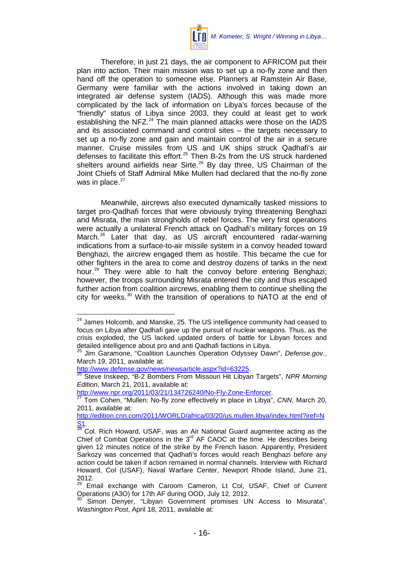

Therefore, in just 21 days, the air component to AFRICOM put their plan into action. Their main mission was to set up a no-fly zone and then hand off the operation to someone else. Planners at Ramstein Air Base, Germany were familiar with the actions involved in taking down an integrated air defense system (IADS). Although this was made more complicated by the lack of information on Libya's forces because of the "friendly" status of Libya since 2003, they could at least get to work establishing the NFZ. $^{24}$  $^{24}$  $^{24}$  The main planned attacks were those on the IADS and its associated command and control sites – the targets necessary to set up a no-fly zone and gain and maintain control of the air in a secure manner. Cruise missiles from US and UK ships struck Qadhafi's air defenses to facilitate this effort. $25$  Then B-2s from the US struck hardened shelters around airfields near Sirte.<sup>[26](#page-17-2)</sup> By day three, US Chairman of the Joint Chiefs of Staff Admiral Mike Mullen had declared that the no-fly zone was in place. $27$ 

Meanwhile, aircrews also executed dynamically tasked missions to target pro-Qadhafi forces that were obviously trying threatening Benghazi and Misrata, the main strongholds of rebel forces. The very first operations were actually a unilateral French attack on Qadhafi's military forces on 19 March.<sup>[28](#page-17-4)</sup> Later that day, as US aircraft encountered radar-warning indications from a surface-to-air missile system in a convoy headed toward Benghazi, the aircrew engaged them as hostile. This became the cue for other fighters in the area to come and destroy dozens of tanks in the next hour.<sup>[29](#page-17-5)</sup> They were able to halt the convoy before entering Benghazi; however, the troops surrounding Misrata entered the city and thus escaped further action from coalition aircrews, enabling them to continue shelling the city for weeks.<sup>[30](#page-17-6)</sup> With the transition of operations to NATO at the end of

<span id="page-17-0"></span> $24$  James Holcomb. and Manske, 25. The US intelligence community had ceased to focus on Libya after Qadhafi gave up the pursuit of nuclear weapons. Thus, as the crisis exploded, the US lacked updated orders of battle for Libyan forces and detailed intelligence about pro and anti Qadhafi factions in Libya.

<span id="page-17-1"></span><sup>25</sup> Jim Garamone, "Coalition Launches Operation Odyssey Dawn", *Defense.gov*., March 19, 2011, available at:<br>http://www.defense.gov/news/newsarticle.aspx?id=63225.

<sup>&</sup>lt;u>http://www.defense.gov/news/newsarticle.aspx?id=63225</u>.<br><sup>26</sup> Steve Inskeep, "B-2 Bombers From Missouri Hit Libyan Targets", *NPR Morning Edition*, March 21, 2011, available at:

<span id="page-17-3"></span><span id="page-17-2"></span>[http://www.npr.org/2011/03/21/134726240/No-Fly-Zone-Enforcer.](http://www.npr.org/2011/03/21/134726240/No-Fly-Zone-Enforcer) <sup>27</sup> Tom Cohen, "Mullen: No-fly zone effectively in place in Libya", *CNN*, March 20, 2011, available at:

[http://edition.cnn.com/2011/WORLD/africa/03/20/us.mullen.libya/index.html?iref=N](http://edition.cnn.com/2011/WORLD/africa/03/20/us.mullen.libya/index.html?iref=NS1)

<span id="page-17-4"></span><sup>&</sup>lt;mark>S1</mark>.<br><sup>28</sup> Col. Rich Howard, USAF, was an Air National Guard augmentee acting as the Chief of Combat Operations in the  $3<sup>rd</sup>$  AF CAOC at the time. He describes being given 12 minutes notice of the strike by the French liason. Apparently, President Sarkozy was concerned that Qadhafi's forces would reach Benghazi before any action could be taken if action remained in normal channels. Interview with Richard Howard, Col (USAF), Naval Warfare Center, Newport Rhode Island, June 21, 2012.

<span id="page-17-5"></span><sup>&</sup>lt;sup>29</sup> Email exchange with Caroom Cameron, Lt Col, USAF, Chief of Current Operations (A3O) for 17th AF during OOD, July 12, 2012.

<span id="page-17-6"></span>Simon Denyer, "Libyan Government promises UN Access to Misurata", *Washington Post*, April 18, 2011, available at: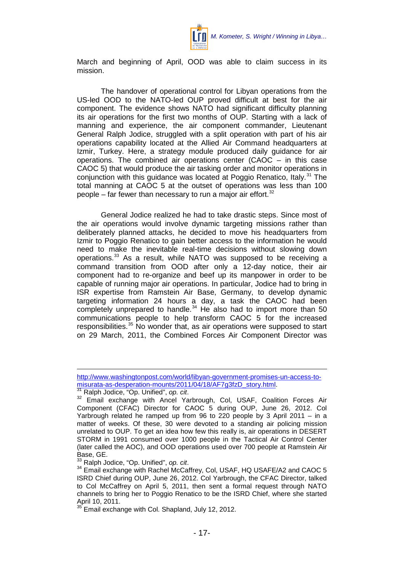

March and beginning of April, OOD was able to claim success in its mission.

The handover of operational control for Libyan operations from the US-led OOD to the NATO-led OUP proved difficult at best for the air component. The evidence shows NATO had significant difficulty planning its air operations for the first two months of OUP. Starting with a lack of manning and experience, the air component commander, Lieutenant General Ralph Jodice, struggled with a split operation with part of his air operations capability located at the Allied Air Command headquarters at Izmir, Turkey. Here, a strategy module produced daily guidance for air operations. The combined air operations center (CAOC – in this case CAOC 5) that would produce the air tasking order and monitor operations in conjunction with this guidance was located at Poggio Renatico, Italy.<sup>[31](#page-18-0)</sup> The total manning at CAOC 5 at the outset of operations was less than 100 people – far fewer than necessary to run a major air effort. $32$ 

General Jodice realized he had to take drastic steps. Since most of the air operations would involve dynamic targeting missions rather than deliberately planned attacks, he decided to move his headquarters from Izmir to Poggio Renatico to gain better access to the information he would need to make the inevitable real-time decisions without slowing down operations.[33](#page-18-2) As a result, while NATO was supposed to be receiving a command transition from OOD after only a 12-day notice, their air component had to re-organize and beef up its manpower in order to be capable of running major air operations. In particular, Jodice had to bring in ISR expertise from Ramstein Air Base, Germany, to develop dynamic targeting information 24 hours a day, a task the CAOC had been completely unprepared to handle. $34$  He also had to import more than 50 communications people to help transform CAOC 5 for the increased responsibilities.<sup>[35](#page-18-4)</sup> No wonder that, as air operations were supposed to start on 29 March, 2011, the Combined Forces Air Component Director was

 $\overline{a}$ 

[http://www.washingtonpost.com/world/libyan-government-promises-un-access-to](http://www.washingtonpost.com/world/libyan-government-promises-un-access-to-misurata-as-desperation-mounts/2011/04/18/AF7g3fzD_story.html)misurata-as-desperation-mounts/2011/04/18/AF7g3fzD\_story.html.<br><sup>31</sup> Ralph Jodice, "Op. Unified", op. cit.

<span id="page-18-1"></span><span id="page-18-0"></span>[<sup>.</sup>](http://www.washingtonpost.com/world/libyan-government-promises-un-access-to-misurata-as-desperation-mounts/2011/04/18/AF7g3fzD_story.html) [31](http://www.washingtonpost.com/world/libyan-government-promises-un-access-to-misurata-as-desperation-mounts/2011/04/18/AF7g3fzD_story.html) Ralph Jodice, "Op. Unified", *op. cit*. <sup>32</sup> Email exchange with Ancel Yarbrough, Col, USAF, Coalition Forces Air Component (CFAC) Director for CAOC 5 during OUP, June 26, 2012. Col Yarbrough related he ramped up from 96 to 220 people by 3 April 2011 – in a matter of weeks. Of these, 30 were devoted to a standing air policing mission unrelated to OUP. To get an idea how few this really is, air operations in DESERT STORM in 1991 consumed over 1000 people in the Tactical Air Control Center (later called the AOC), and OOD operations used over 700 people at Ramstein Air Base, GE.<br><sup>33</sup> Ralph Jodice, "Op. Unified", op. cit.

<span id="page-18-2"></span>

<span id="page-18-3"></span><sup>&</sup>lt;sup>34</sup> Email exchange with Rachel McCaffrey, Col, USAF, HQ USAFE/A2 and CAOC 5 ISRD Chief during OUP, June 26, 2012. Col Yarbrough, the CFAC Director, talked to Col McCaffrey on April 5, 2011, then sent a formal request through NATO channels to bring her to Poggio Renatico to be the ISRD Chief, where she started April 10, 2011.

<span id="page-18-4"></span><sup>&</sup>lt;sup>35</sup> Email exchange with Col. Shapland, July 12, 2012.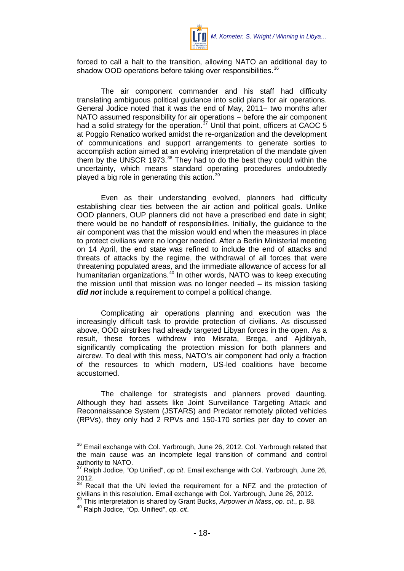

forced to call a halt to the transition, allowing NATO an additional day to shadow OOD operations before taking over responsibilities.<sup>[36](#page-19-0)</sup>

The air component commander and his staff had difficulty translating ambiguous political guidance into solid plans for air operations. General Jodice noted that it was the end of May, 2011– two months after NATO assumed responsibility for air operations – before the air component had a solid strategy for the operation.<sup>[37](#page-19-1)</sup> Until that point, officers at CAOC 5 at Poggio Renatico worked amidst the re-organization and the development of communications and support arrangements to generate sorties to accomplish action aimed at an evolving interpretation of the mandate given them by the UNSCR 1973.<sup>[38](#page-19-2)</sup> They had to do the best they could within the uncertainty, which means standard operating procedures undoubtedly played a big role in generating this action. $39$ 

Even as their understanding evolved, planners had difficulty establishing clear ties between the air action and political goals. Unlike OOD planners, OUP planners did not have a prescribed end date in sight; there would be no handoff of responsibilities. Initially, the guidance to the air component was that the mission would end when the measures in place to protect civilians were no longer needed. After a Berlin Ministerial meeting on 14 April, the end state was refined to include the end of attacks and threats of attacks by the regime, the withdrawal of all forces that were threatening populated areas, and the immediate allowance of access for all humanitarian organizations.<sup>[40](#page-19-4)</sup> In other words, NATO was to keep executing the mission until that mission was no longer needed – its mission tasking *did not* include a requirement to compel a political change.

Complicating air operations planning and execution was the increasingly difficult task to provide protection of civilians. As discussed above, OOD airstrikes had already targeted Libyan forces in the open. As a result, these forces withdrew into Misrata, Brega, and Ajdibiyah, significantly complicating the protection mission for both planners and aircrew. To deal with this mess, NATO's air component had only a fraction of the resources to which modern, US-led coalitions have become accustomed.

The challenge for strategists and planners proved daunting. Although they had assets like Joint Surveillance Targeting Attack and Reconnaissance System (JSTARS) and Predator remotely piloted vehicles (RPVs), they only had 2 RPVs and 150-170 sorties per day to cover an

<span id="page-19-0"></span><sup>&</sup>lt;sup>36</sup> Email exchange with Col. Yarbrough, June 26, 2012. Col. Yarbrough related that the main cause was an incomplete legal transition of command and control authority to NATO.

<span id="page-19-1"></span><sup>37</sup> Ralph Jodice, "Op Unified", *op cit*. Email exchange with Col. Yarbrough, June 26, 2012.

<span id="page-19-2"></span>Recall that the UN levied the requirement for a NFZ and the protection of civilians in this resolution. Email exchange with Col. Yarbrough, June 26, 2012.<br><sup>39</sup> This interpretation is shared by Grant Bucks, *Airpower in Mass, op. cit.*, p. 88.<br><sup>40</sup> Ralph Jodice. "Op. Unified", op. cit.

<span id="page-19-4"></span><span id="page-19-3"></span>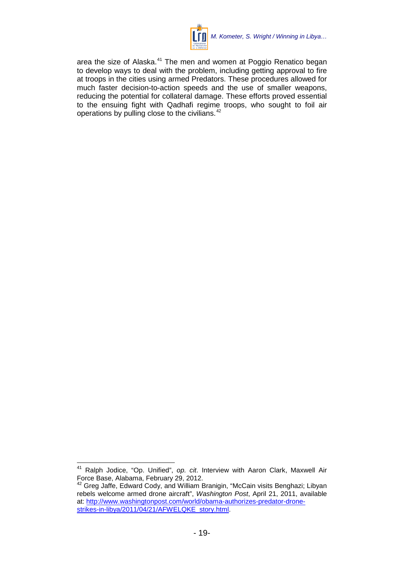

area the size of Alaska.<sup>[41](#page-20-0)</sup> The men and women at Poggio Renatico began to develop ways to deal with the problem, including getting approval to fire at troops in the cities using armed Predators. These procedures allowed for much faster decision-to-action speeds and the use of smaller weapons, reducing the potential for collateral damage. These efforts proved essential to the ensuing fight with Qadhafi regime troops, who sought to foil air operations by pulling close to the civilians.[42](#page-20-1)

<span id="page-20-0"></span><sup>41</sup> Ralph Jodice, "Op. Unified", *op. cit*. Interview with Aaron Clark, Maxwell Air Force Base, Alabama, February 29, 2012.<br><sup>42</sup> Greg Jaffe, Edward Cody, and William Branigin, "McCain visits Benghazi; Libyan

<span id="page-20-1"></span>rebels welcome armed drone aircraft", *Washington Post*, April 21, 2011, available at: [http://www.washingtonpost.com/world/obama-authorizes-predator-drone](http://www.washingtonpost.com/world/obama-authorizes-predator-drone-strikes-in-libya/2011/04/21/AFWELQKE_story.html)strikes-in-libya/2011/04/21/AFWELQKE\_story.html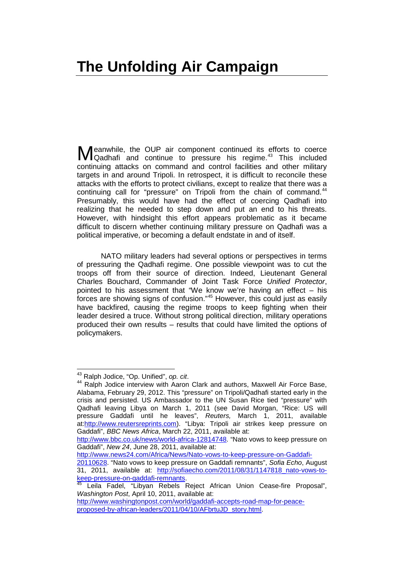<span id="page-22-0"></span>eanwhile, the OUP air component continued its efforts to coerce Meanwhile, the OUP air component continued its efforts to coerce<br>
Qadhafi and continue to pressure his regime.<sup>[43](#page-22-1)</sup> This included<br>
Meanwhile and continue to pressure his regime.<sup>43</sup> This included continuing attacks on command and control facilities and other military targets in and around Tripoli. In retrospect, it is difficult to reconcile these attacks with the efforts to protect civilians, except to realize that there was a continuing call for "pressure" on Tripoli from the chain of command.<sup>[44](#page-22-2)</sup> Presumably, this would have had the effect of coercing Qadhafi into realizing that he needed to step down and put an end to his threats. However, with hindsight this effort appears problematic as it became difficult to discern whether continuing military pressure on Qadhafi was a political imperative, or becoming a default endstate in and of itself.

NATO military leaders had several options or perspectives in terms of pressuring the Qadhafi regime. One possible viewpoint was to cut the troops off from their source of direction. Indeed, Lieutenant General Charles Bouchard, Commander of Joint Task Force *Unified Protector*, pointed to his assessment that "We know we're having an effect – his forces are showing signs of confusion."<sup>[45](#page-22-3)</sup> However, this could just as easily have backfired, causing the regime troops to keep fighting when their leader desired a truce. Without strong political direction, military operations produced their own results – results that could have limited the options of policymakers.

[http://www.news24.com/Africa/News/Nato-vows-to-keep-pressure-on-Gaddafi-](http://www.news24.com/Africa/News/Nato-vows-to-keep-pressure-on-Gaddafi-20110628)

<span id="page-22-1"></span><sup>43</sup> Ralph Jodice, "Op. Unified", *op. cit*.

<span id="page-22-2"></span><sup>&</sup>lt;sup>44</sup> Ralph Jodice interview with Aaron Clark and authors, Maxwell Air Force Base, Alabama, February 29, 2012. This "pressure" on Tripoli/Qadhafi started early in the crisis and persisted. US Ambassador to the UN Susan Rice tied "pressure" with Qadhafi leaving Libya on March 1, 2011 (see David Morgan, "Rice: US will pressure Gaddafi until he leaves", *Reuters,* March 1, 2011, available at[:http://www.reutersreprints.com\)](http://www.reutersreprints.com/). "Libya: Tripoli air strikes keep pressure on Gaddafi", *BBC News Africa*, March 22, 2011, available at:

[http://www.bbc.co.uk/news/world-africa-12814748.](http://www.bbc.co.uk/news/world-africa-12814748) "Nato vows to keep pressure on Gaddafi", *New 24*, June 28, 2011, available at:

[<sup>20110628.</sup>](http://www.news24.com/Africa/News/Nato-vows-to-keep-pressure-on-Gaddafi-20110628) "Nato vows to keep pressure on Gaddafi remnants", *Sofia Echo*, August 31, 2011, available at: http://sofiaecho.com/2011/08/31/1147818 nato-vows-to-<br>keep-pressure-on-gaddafi-remnants<br><sup>45</sup> Leila Eadal "Library D

<span id="page-22-3"></span>Leila Fadel, "Libyan Rebels Reject African Union Cease-fire Proposal", *Washington Post*, April 10, 2011, available at:

[http://www.washingtonpost.com/world/gaddafi-accepts-road-map-for-peace](http://www.washingtonpost.com/world/gaddafi-accepts-road-map-for-peace-proposed-by-african-leaders/2011/04/10/AFbrtuJD_story.html)[proposed-by-african-leaders/2011/04/10/AFbrtuJD\\_story.html.](http://www.washingtonpost.com/world/gaddafi-accepts-road-map-for-peace-proposed-by-african-leaders/2011/04/10/AFbrtuJD_story.html)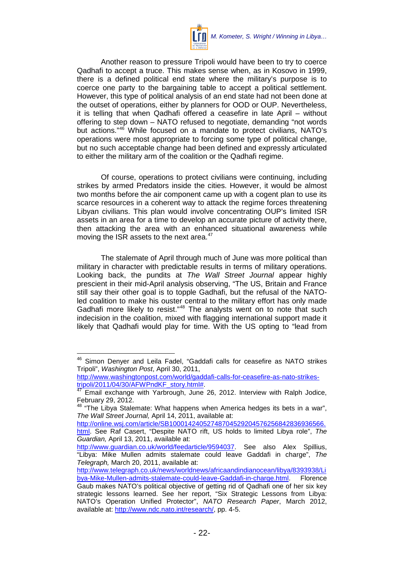

Another reason to pressure Tripoli would have been to try to coerce Qadhafi to accept a truce. This makes sense when, as in Kosovo in 1999, there is a defined political end state where the military's purpose is to coerce one party to the bargaining table to accept a political settlement. However, this type of political analysis of an end state had not been done at the outset of operations, either by planners for OOD or OUP. Nevertheless, it is telling that when Qadhafi offered a ceasefire in late April – without offering to step down – NATO refused to negotiate, demanding "not words but actions."[46](#page-23-0) While focused on a mandate to protect civilians, NATO's operations were most appropriate to forcing some type of political change, but no such acceptable change had been defined and expressly articulated to either the military arm of the coalition or the Qadhafi regime.

Of course, operations to protect civilians were continuing, including strikes by armed Predators inside the cities. However, it would be almost two months before the air component came up with a cogent plan to use its scarce resources in a coherent way to attack the regime forces threatening Libyan civilians. This plan would involve concentrating OUP's limited ISR assets in an area for a time to develop an accurate picture of activity there, then attacking the area with an enhanced situational awareness while moving the ISR assets to the next area.<sup>[47](#page-23-1)</sup>

The stalemate of April through much of June was more political than military in character with predictable results in terms of military operations. Looking back, the pundits at *The Wall Street Journal* appear highly prescient in their mid-April analysis observing, "The US, Britain and France still say their other goal is to topple Gadhafi, but the refusal of the NATOled coalition to make his ouster central to the military effort has only made Gadhafi more likely to resist."<sup>[48](#page-23-2)</sup> The analysts went on to note that such indecision in the coalition, mixed with flagging international support made it likely that Qadhafi would play for time. With the US opting to "lead from

<span id="page-23-0"></span><sup>&</sup>lt;sup>46</sup> Simon Denver and Leila Fadel, "Gaddafi calls for ceasefire as NATO strikes Tripoli", *Washington Post*, April 30, 2011,

http://www.washingtonpost.com/world/gaddafi-calls-for-ceasefire-as-nato-strikes-<br>tripoli/2011/04/30/AFWPndKF story.html#

<span id="page-23-1"></span>tripolization with the story.html 2011/2012. Interview with Ralph Jodice, February 29, 2012.

<span id="page-23-2"></span><sup>&</sup>quot;The Libya Stalemate: What happens when America hedges its bets in a war", *The Wall Street Journal,* April 14, 2011, available at:

[http://online.wsj.com/article/SB10001424052748704529204576256842836936566.](http://online.wsj.com/article/SB10001424052748704529204576256842836936566.html) [html.](http://online.wsj.com/article/SB10001424052748704529204576256842836936566.html) See Raf Casert, "Despite NATO rift, US holds to limited Libya role", *The Guardian,* April 13, 2011, available at:

http://www.guardian.co.uk/world/feedarticle/9594037 See also Alex Spillius, "Libya: Mike Mullen admits stalemate could leave Gaddafi in charge", *The Telegraph,* March 20, 2011, available at:

[http://www.telegraph.co.uk/news/worldnews/africaandindianocean/libya/8393938/Li](http://www.telegraph.co.uk/news/worldnews/africaandindianocean/libya/8393938/Libya-Mike-Mullen-admits-stalemate-could-leave-Gaddafi-in-charge.html) [bya-Mike-Mullen-admits-stalemate-could-leave-Gaddafi-in-charge.html.](http://www.telegraph.co.uk/news/worldnews/africaandindianocean/libya/8393938/Libya-Mike-Mullen-admits-stalemate-could-leave-Gaddafi-in-charge.html) Gaub makes NATO's political objective of getting rid of Qadhafi one of her six key strategic lessons learned. See her report, "Six Strategic Lessons from Libya: NATO's Operation Unified Protector", *NATO Research Paper*, March 2012, available at: [http://www.ndc.nato.int/research/,](http://www.ndc.nato.int/research/) pp. 4-5.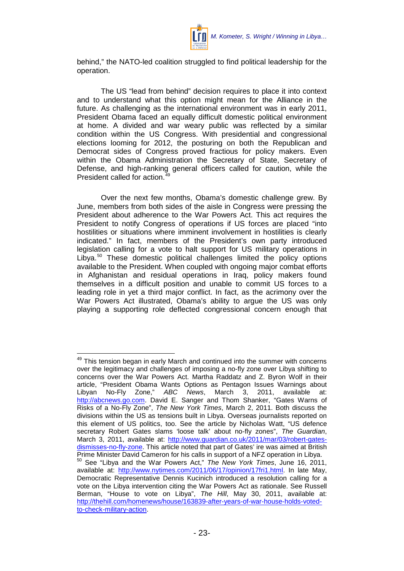

behind," the NATO-led coalition struggled to find political leadership for the operation.

The US "lead from behind" decision requires to place it into context and to understand what this option might mean for the Alliance in the future. As challenging as the international environment was in early 2011, President Obama faced an equally difficult domestic political environment at home. A divided and war weary public was reflected by a similar condition within the US Congress. With presidential and congressional elections looming for 2012, the posturing on both the Republican and Democrat sides of Congress proved fractious for policy makers. Even within the Obama Administration the Secretary of State, Secretary of Defense, and high-ranking general officers called for caution, while the President called for action.<sup>4</sup>

Over the next few months, Obama's domestic challenge grew. By June, members from both sides of the aisle in Congress were pressing the President about adherence to the War Powers Act. This act requires the President to notify Congress of operations if US forces are placed "into hostilities or situations where imminent involvement in hostilities is clearly indicated." In fact, members of the President's own party introduced legislation calling for a vote to halt support for US military operations in Libya.<sup>[50](#page-24-1)</sup> These domestic political challenges limited the policy options available to the President. When coupled with ongoing major combat efforts in Afghanistan and residual operations in Iraq, policy makers found themselves in a difficult position and unable to commit US forces to a leading role in yet a third major conflict. In fact, as the acrimony over the War Powers Act illustrated, Obama's ability to argue the US was only playing a supporting role deflected congressional concern enough that

<span id="page-24-1"></span><span id="page-24-0"></span> $49$  This tension began in early March and continued into the summer with concerns over the legitimacy and challenges of imposing a no-fly zone over Libya shifting to concerns over the War Powers Act. Martha Raddatz and Z. Byron Wolf in their article, "President Obama Wants Options as Pentagon Issues Warnings about Libyan No-Fly Zone," *ABC News*, March 3, 2011, available at: [http://abcnews.go.com.](http://abcnews.go.com/) David E. Sanger and Thom Shanker, "Gates Warns of Risks of a No-Fly Zone", *The New York Times*, March 2, 2011. Both discuss the divisions within the US as tensions built in Libya. Overseas journalists reported on this element of US politics, too. See the article by Nicholas Watt, "US defence secretary Robert Gates slams 'loose talk' about no-fly zones", *The Guardian*, March 3, 2011, available at: [http://www.guardian.co.uk/2011/mar/03/robert-gates](http://www.guardian.co.uk/2011/mar/03/robert-gates-dismisses-no-fly-zone)[dismisses-no-fly-zone.](http://www.guardian.co.uk/2011/mar/03/robert-gates-dismisses-no-fly-zone) This article noted that part of Gates' ire was aimed at British Prime Minister David Cameron for his calls in support of a NFZ operation in Libya. <sup>50</sup> See "Libya and the War Powers Act," *The New York Times*, June 16, 2011, available at: [http://www.nytimes.com/2011/06/17/opinion/17fri1.html.](http://www.nytimes.com/2011/06/17/opinion/17fri1.html) In late May, Democratic Representative Dennis Kucinich introduced a resolution calling for a vote on the Libya intervention citing the War Powers Act as rationale. See Russell Berman, "House to vote on Libya", *The Hill*, May 30, 2011, available at: [http://thehill.com/homenews/house/163839-after-years-of-war-house-holds-voted](http://thehill.com/homenews/house/163839-after-years-of-war-house-holds-voted-to-check-military-action)[to-check-military-action.](http://thehill.com/homenews/house/163839-after-years-of-war-house-holds-voted-to-check-military-action)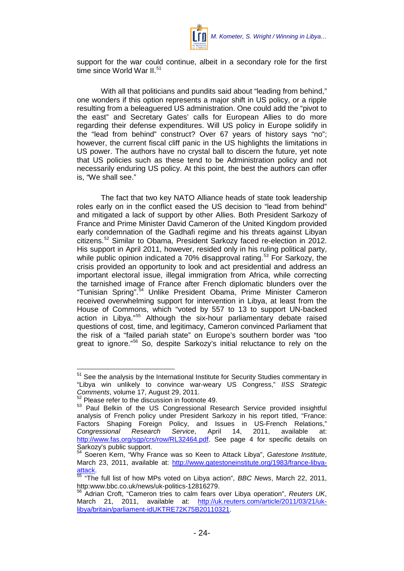

support for the war could continue, albeit in a secondary role for the first time since World War II. $51$ 

With all that politicians and pundits said about "leading from behind," one wonders if this option represents a major shift in US policy, or a ripple resulting from a beleaguered US administration. One could add the "pivot to the east" and Secretary Gates' calls for European Allies to do more regarding their defense expenditures. Will US policy in Europe solidify in the "lead from behind" construct? Over 67 years of history says "no"; however, the current fiscal cliff panic in the US highlights the limitations in US power. The authors have no crystal ball to discern the future, yet note that US policies such as these tend to be Administration policy and not necessarily enduring US policy. At this point, the best the authors can offer is, "We shall see."

The fact that two key NATO Alliance heads of state took leadership roles early on in the conflict eased the US decision to "lead from behind" and mitigated a lack of support by other Allies. Both President Sarkozy of France and Prime Minister David Cameron of the United Kingdom provided early condemnation of the Gadhafi regime and his threats against Libyan citizens.[52](#page-25-1) Similar to Obama, President Sarkozy faced re-election in 2012. His support in April 2011, however, resided only in his ruling political party, while public opinion indicated a 70% disapproval rating.<sup>[53](#page-25-2)</sup> For Sarkozy, the crisis provided an opportunity to look and act presidential and address an important electoral issue, illegal immigration from Africa, while correcting the tarnished image of France after French diplomatic blunders over the "Tunisian Spring".[54](#page-25-3) Unlike President Obama, Prime Minister Cameron received overwhelming support for intervention in Libya, at least from the House of Commons, which "voted by 557 to 13 to support UN-backed action in Libya."[55](#page-25-4) Although the six-hour parliamentary debate raised questions of cost, time, and legitimacy, Cameron convinced Parliament that the risk of a "failed pariah state" on Europe's southern border was "too great to ignore."<sup>[56](#page-25-5)</sup> So, despite Sarkozy's initial reluctance to rely on the

<span id="page-25-0"></span><sup>&</sup>lt;sup>51</sup> See the analysis by the International Institute for Security Studies commentary in "Libya win unlikely to convince war-weary US Congress," *IISS Strategic Comments*, volume 17, August 29, 2011.

 $\frac{52}{12}$  Please refer to the discussion in footnote 49.

<span id="page-25-2"></span><span id="page-25-1"></span><sup>53</sup> Paul Belkin of the US Congressional Research Service provided insightful analysis of French policy under President Sarkozy in his report titled, "France: Factors Shaping Foreign Policy, and Issues in US-French Relations," *Congressional Research Service*, April 14, 2011, available at: [http://www.fas.org/sgp/crs/row/RL32464.pdf.](http://www.fas.org/sgp/crs/row/RL32464.pdf) See page 4 for specific details on Sarkozy's public support.

<span id="page-25-3"></span><sup>54</sup> Soeren Kern, "Why France was so Keen to Attack Libya", *Gatestone Institute*, March 23, 2011, available at: [http://www.gatestoneinstitute.org/1983/france-libya-](http://www.gatestoneinstitute.org/1983/france-libya-attack)

<span id="page-25-4"></span>[attack.](http://www.gatestoneinstitute.org/1983/france-libya-attack) [55](http://www.gatestoneinstitute.org/1983/france-libya-attack) "The full list of how MPs voted on Libya action", *BBC News*, March 22, 2011, http:www.bbc.co.uk/news/uk-politics-12816279.

<span id="page-25-5"></span><sup>56</sup> Adrian Croft, "Cameron tries to calm fears over Libya operation", *Reuters UK*, March 21, 2011, available at: [http://uk.reuters.com/article/2011/03/21/uk](http://uk.reuters.com/article/2011/03/21/uk-libya/britain/parliament-idUKTRE72K75B20110321)[libya/britain/parliament-idUKTRE72K75B20110321.](http://uk.reuters.com/article/2011/03/21/uk-libya/britain/parliament-idUKTRE72K75B20110321)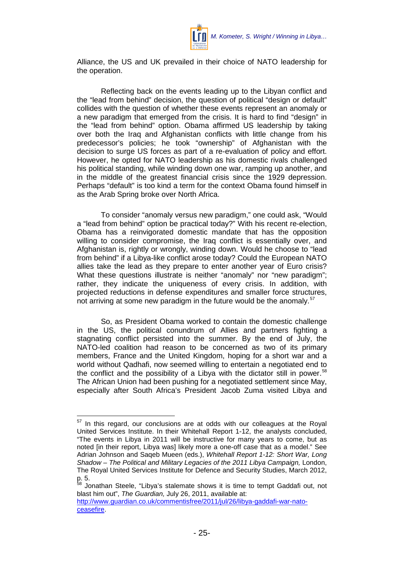

Alliance, the US and UK prevailed in their choice of NATO leadership for the operation.

Reflecting back on the events leading up to the Libyan conflict and the "lead from behind" decision, the question of political "design or default" collides with the question of whether these events represent an anomaly or a new paradigm that emerged from the crisis. It is hard to find "design" in the "lead from behind" option. Obama affirmed US leadership by taking over both the Iraq and Afghanistan conflicts with little change from his predecessor's policies; he took "ownership" of Afghanistan with the decision to surge US forces as part of a re-evaluation of policy and effort. However, he opted for NATO leadership as his domestic rivals challenged his political standing, while winding down one war, ramping up another, and in the middle of the greatest financial crisis since the 1929 depression. Perhaps "default" is too kind a term for the context Obama found himself in as the Arab Spring broke over North Africa.

To consider "anomaly versus new paradigm," one could ask, "Would a "lead from behind" option be practical today?" With his recent re-election, Obama has a reinvigorated domestic mandate that has the opposition willing to consider compromise, the Iraq conflict is essentially over, and Afghanistan is, rightly or wrongly, winding down. Would he choose to "lead from behind" if a Libya-like conflict arose today? Could the European NATO allies take the lead as they prepare to enter another year of Euro crisis? What these questions illustrate is neither "anomaly" nor "new paradigm"; rather, they indicate the uniqueness of every crisis. In addition, with projected reductions in defense expenditures and smaller force structures, not arriving at some new paradigm in the future would be the anomaly.<sup>[57](#page-26-0)</sup>

So, as President Obama worked to contain the domestic challenge in the US, the political conundrum of Allies and partners fighting a stagnating conflict persisted into the summer. By the end of July, the NATO-led coalition had reason to be concerned as two of its primary members, France and the United Kingdom, hoping for a short war and a world without Qadhafi, now seemed willing to entertain a negotiated end to the conflict and the possibility of a Libya with the dictator still in power.<sup>[58](#page-26-1)</sup> The African Union had been pushing for a negotiated settlement since May, especially after South Africa's President Jacob Zuma visited Libya and

<span id="page-26-0"></span><sup>&</sup>lt;sup>57</sup> In this regard, our conclusions are at odds with our colleagues at the Royal United Services Institute. In their Whitehall Report 1-12, the analysts concluded, "The events in Libya in 2011 will be instructive for many years to come, but as noted [in their report, Libya was] likely more a one-off case that as a model." See Adrian Johnson and Saqeb Mueen (eds.), *Whitehall Report 1-12: Short War, Long Shadow – The Political and Military Legacies of the 2011 Libya Campaign,* London, The Royal United Services Institute for Defence and Security Studies, March 2012,  $p. 5.$ 

<span id="page-26-1"></span>Jonathan Steele, "Libya's stalemate shows it is time to tempt Gaddafi out, not blast him out", *The Guardian,* July 26, 2011, available at:

[http://www.guardian.co.uk/commentisfree/2011/jul/26/libya-gaddafi-war-nato](http://www.guardian.co.uk/commentisfree/2011/jul/26/libya-gaddafi-war-nato-ceasefire)[ceasefire.](http://www.guardian.co.uk/commentisfree/2011/jul/26/libya-gaddafi-war-nato-ceasefire)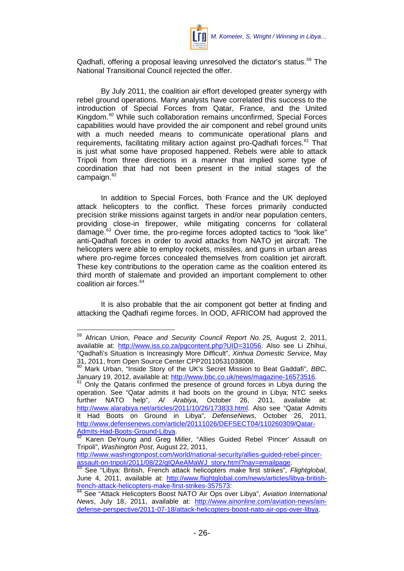

Qadhafi, offering a proposal leaving unresolved the dictator's status.<sup>[59](#page-27-0)</sup> The National Transitional Council rejected the offer.

By July 2011, the coalition air effort developed greater synergy with rebel ground operations. Many analysts have correlated this success to the introduction of Special Forces from Qatar, France, and the United Kingdom.<sup>[60](#page-27-1)</sup> While such collaboration remains unconfirmed, Special Forces capabilities would have provided the air component and rebel ground units with a much needed means to communicate operational plans and requirements, facilitating military action against pro-Qadhafi forces.<sup>[61](#page-27-2)</sup> That is just what some have proposed happened. Rebels were able to attack Tripoli from three directions in a manner that implied some type of coordination that had not been present in the initial stages of the campaign. $62$ 

In addition to Special Forces, both France and the UK deployed attack helicopters to the conflict. These forces primarily conducted precision strike missions against targets in and/or near population centers, providing close-in firepower, while mitigating concerns for collateral damage.<sup>[63](#page-27-4)</sup> Over time, the pro-regime forces adopted tactics to "look like" anti-Qadhafi forces in order to avoid attacks from NATO jet aircraft. The helicopters were able to employ rockets, missiles, and guns in urban areas where pro-regime forces concealed themselves from coalition jet aircraft. These key contributions to the operation came as the coalition entered its third month of stalemate and provided an important complement to other coalition air forces.<sup>[64](#page-27-5)</sup>

It is also probable that the air component got better at finding and attacking the Qadhafi regime forces. In OOD, AFRICOM had approved the

<span id="page-27-0"></span><sup>59</sup> African Union, *Peace and Security Council Report No. <sup>25</sup>*, August 2, 2011, available at: [http://www.iss.co.za/pgcontent.php?UID=31056.](http://www.iss.co.za/pgcontent.php?UID=31056) Also see Li Zhihui, "Qadhafi's Situation is Increasingly More Difficult", *Xinhua Domestic Service,* May 31, 2011, from Open Source Center CPP20110531038008.

<span id="page-27-1"></span><sup>60</sup> Mark Urban, "Inside Story of the UK's Secret Mission to Beat Gaddafi", *BBC*, January 19, 2012, available at: [http://www.bbc.co.uk/news/magazine-16573516.](http://www.bbc.co.uk/news/magazine-16573516)<br><sup>61</sup> Only the Qataris confirmed the presence of ground forces in Libya during the

<span id="page-27-2"></span>operation. See "Qatar admits it had boots on the ground in Libya; NTC seeks further NATO help", Al Arabiya, October 26, 2011, available at: further NATO help", *Al Arabiya*, October 26, 2011, available at: [http://www.alarabiya.net/articles/2011/10/26/173833.html.](http://www.alarabiya.net/articles/2011/10/26/173833.html) Also see "Qatar Admits It Had Boots on Ground in Libya", *DefenseNews,* October 26, 2011, [http://www.defensenews.com/article/20111026/DEFSECT04/110260309/Qatar-](http://www.defensenews.com/article/20111026/DEFSECT04/110260309/Qatar-Admits-Had-Boots-Ground-Libya)[Admits-Had-Boots-Ground-Libya.](http://www.defensenews.com/article/20111026/DEFSECT04/110260309/Qatar-Admits-Had-Boots-Ground-Libya)<br>
<sup>[62](http://www.defensenews.com/article/20111026/DEFSECT04/110260309/Qatar-Admits-Had-Boots-Ground-Libya)</sup> Karen DeYoung and Greg Miller, "Allies Guided Rebel 'Pincer' Assault on

<span id="page-27-3"></span>Tripoli", *Washington Post*, August 22, 2011,

http://www.washingtonpost.com/world/national-security/allies-guided-rebel-pincer-<br>assault-on-tripoli/2011/08/22/gIQAeAMaWJ\_story.html?nay=emailpage.

<span id="page-27-4"></span>assault-on-tripolitecture.<br><sup>63</sup> See "Libya: British, French attack helicopters make first strikes", *Flightglobal*, June 4, 2011, available at: [http://www.flightglobal.com/news/articles/libya-british](http://www.flightglobal.com/news/articles/libya-british-french-attack-helicopters-make-first-strikes-357573)[french-attack-helicopters-make-first-strikes-357573:](http://www.flightglobal.com/news/articles/libya-british-french-attack-helicopters-make-first-strikes-357573)

<span id="page-27-5"></span><sup>64</sup> See "Attack Helicopters Boost NATO Air Ops over Libya", *Aviation International News*, July 18, 2011, available at: [http://www.ainonline.com/aviation-news/ain](http://www.ainonline.com/aviation-news/ain-defense-perspective/2011-07-18/attack-helicopters-boost-nato-air-ops-over-libya)[defense-perspective/2011-07-18/attack-helicopters-boost-nato-air-ops-over-libya.](http://www.ainonline.com/aviation-news/ain-defense-perspective/2011-07-18/attack-helicopters-boost-nato-air-ops-over-libya)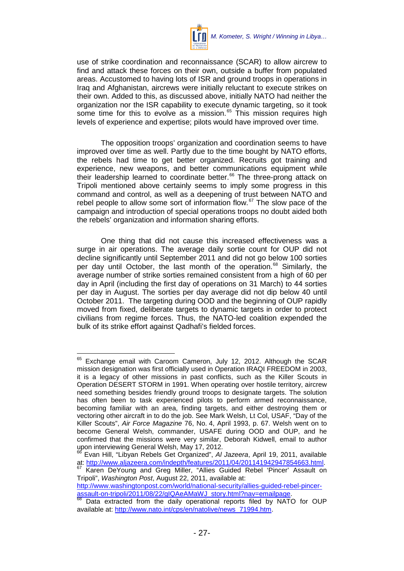

use of strike coordination and reconnaissance (SCAR) to allow aircrew to find and attack these forces on their own, outside a buffer from populated areas. Accustomed to having lots of ISR and ground troops in operations in Iraq and Afghanistan, aircrews were initially reluctant to execute strikes on their own. Added to this, as discussed above, initially NATO had neither the organization nor the ISR capability to execute dynamic targeting, so it took some time for this to evolve as a mission.<sup>[65](#page-28-0)</sup> This mission requires high levels of experience and expertise; pilots would have improved over time.

The opposition troops' organization and coordination seems to have improved over time as well. Partly due to the time bought by NATO efforts, the rebels had time to get better organized. Recruits got training and experience, new weapons, and better communications equipment while their leadership learned to coordinate better. [66](#page-28-1) The three-prong attack on Tripoli mentioned above certainly seems to imply some progress in this command and control, as well as a deepening of trust between NATO and rebel people to allow some sort of information flow. $67$  The slow pace of the campaign and introduction of special operations troops no doubt aided both the rebels' organization and information sharing efforts.

One thing that did not cause this increased effectiveness was a surge in air operations. The average daily sortie count for OUP did not decline significantly until September 2011 and did not go below 100 sorties per day until October, the last month of the operation.<sup>[68](#page-28-3)</sup> Similarly, the average number of strike sorties remained consistent from a high of 60 per day in April (including the first day of operations on 31 March) to 44 sorties per day in August. The sorties per day average did not dip below 40 until October 2011. The targeting during OOD and the beginning of OUP rapidly moved from fixed, deliberate targets to dynamic targets in order to protect civilians from regime forces. Thus, the NATO-led coalition expended the bulk of its strike effort against Qadhafi's fielded forces.

<span id="page-28-0"></span><sup>&</sup>lt;sup>65</sup> Exchange email with Caroom Cameron, July 12, 2012. Although the SCAR mission designation was first officially used in Operation IRAQI FREEDOM in 2003, it is a legacy of other missions in past conflicts, such as the Killer Scouts in Operation DESERT STORM in 1991. When operating over hostile territory, aircrew need something besides friendly ground troops to designate targets. The solution has often been to task experienced pilots to perform armed reconnaissance, becoming familiar with an area, finding targets, and either destroying them or vectoring other aircraft in to do the job. See Mark Welsh, Lt Col, USAF, "Day of the Killer Scouts", *Air Force Magazine* 76, No. 4, April 1993, p. 67. Welsh went on to become General Welsh, commander, USAFE during OOD and OUP, and he confirmed that the missions were very similar, Deborah Kidwell, email to author upon interviewing General Welsh, May 17, 2012.

<span id="page-28-1"></span><sup>&</sup>lt;sup>66</sup> Evan Hill, "Libyan Rebels Get Organized", *AI Jazeera*, April 19, 2011, available<br>at: http://www.aliazeera.com/indepth/features/2011/04/201141942947854663.html.

<span id="page-28-2"></span>Karen DeYoung and Greg Miller, "Allies Guided Rebel 'Pincer' Assault on Tripoli", *Washington Post*, August 22, 2011, available at:

[http://www.washingtonpost.com/world/national-security/allies-guided-rebel-pincer](http://www.washingtonpost.com/world/national-security/allies-guided-rebel-pincer-assault-on-tripoli/2011/08/22/gIQAeAMaWJ_story.html?nav=emailpage)[assault-on-tripoli/2011/08/22/gIQAeAMaWJ\\_story.html?nav=emailpage.](http://www.washingtonpost.com/world/national-security/allies-guided-rebel-pincer-assault-on-tripoli/2011/08/22/gIQAeAMaWJ_story.html?nav=emailpage)<br><sup>68</sup> Data extracted from the daily operational reports filed by NATO for OUP

<span id="page-28-3"></span>available at: [http://www.nato.int/cps/en/natolive/news\\_71994.htm.](http://www.nato.int/cps/en/natolive/news_71994.htm)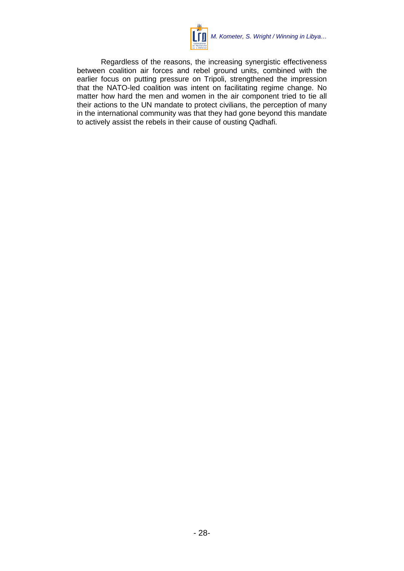

Regardless of the reasons, the increasing synergistic effectiveness between coalition air forces and rebel ground units, combined with the earlier focus on putting pressure on Tripoli, strengthened the impression that the NATO-led coalition was intent on facilitating regime change. No matter how hard the men and women in the air component tried to tie all their actions to the UN mandate to protect civilians, the perception of many in the international community was that they had gone beyond this mandate to actively assist the rebels in their cause of ousting Qadhafi.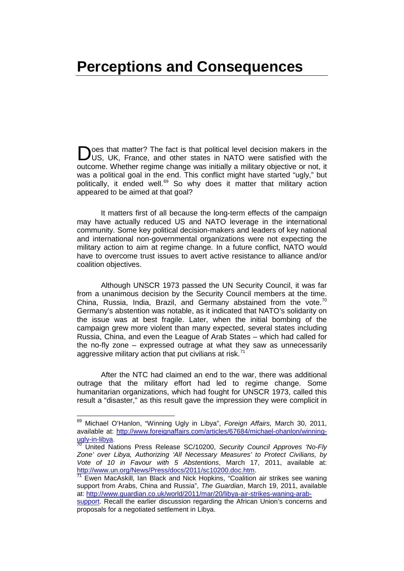### <span id="page-30-0"></span>**Perceptions and Consequences**

oes that matter? The fact is that political level decision makers in the US, UK, France, and other states in NATO were satisfied with the outcome. Whether regime change was initially a military objective or not, it was a political goal in the end. This conflict might have started "ugly," but politically, it ended well.<sup>[69](#page-30-1)</sup> So why does it matter that military action appeared to be aimed at that goal? D

It matters first of all because the long-term effects of the campaign may have actually reduced US and NATO leverage in the international community. Some key political decision-makers and leaders of key national and international non-governmental organizations were not expecting the military action to aim at regime change. In a future conflict, NATO would have to overcome trust issues to avert active resistance to alliance and/or coalition objectives.

Although UNSCR 1973 passed the UN Security Council, it was far from a unanimous decision by the Security Council members at the time. China, Russia, India, Brazil, and Germany abstained from the vote.<sup>[70](#page-30-2)</sup> Germany's abstention was notable, as it indicated that NATO's solidarity on the issue was at best fragile. Later, when the initial bombing of the campaign grew more violent than many expected, several states including Russia, China, and even the League of Arab States – which had called for the no-fly zone – expressed outrage at what they saw as unnecessarily aggressive military action that put civilians at risk.<sup>[71](#page-30-3)</sup>

After the NTC had claimed an end to the war, there was additional outrage that the military effort had led to regime change. Some humanitarian organizations, which had fought for UNSCR 1973, called this result a "disaster," as this result gave the impression they were complicit in

<span id="page-30-1"></span><sup>69</sup> Michael O'Hanlon, "Winning Ugly in Libya", *Foreign Affairs,* March 30, 2011, available at: [http://www.foreignaffairs.com/articles/67684/michael-ohanlon/winning-](http://www.foreignaffairs.com/articles/67684/michael-ohanlon/winning-ugly-in-libya)

<span id="page-30-2"></span>[ugly-in-libya.](http://www.foreignaffairs.com/articles/67684/michael-ohanlon/winning-ugly-in-libya) <sup>70</sup> United Nations Press Release SC/10200, *Security Council Approves 'No-Fly Zone' over Libya, Authorizing 'All Necessary Measures' to Protect Civilians, by Vote of 10 in Favour with 5 Abstentions*, March 17, 2011, available at:<br>http://www.un.org/News/Press/docs/2011/sc10200.doc.htm.

<span id="page-30-3"></span>Ewen MacAskill, Ian Black and Nick Hopkins, "Coalition air strikes see waning support from Arabs, China and Russia", *The Guardian*, March 19, 2011, available at: [http://www.guardian.co.uk/world/2011/mar/20/libya-air-strikes-waning-arab-](http://www.guardian.co.uk/world/2011/mar/20/libya-air-strikes-waning-arab-support)

[support.](http://www.guardian.co.uk/world/2011/mar/20/libya-air-strikes-waning-arab-support) Recall the earlier discussion regarding the African Union's concerns and proposals for a negotiated settlement in Libya.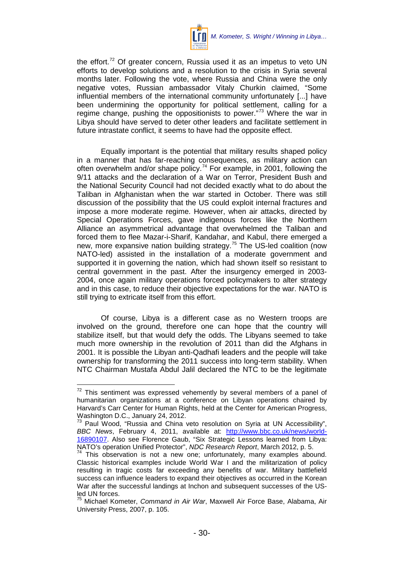

the effort. $72$  Of greater concern, Russia used it as an impetus to veto UN efforts to develop solutions and a resolution to the crisis in Syria several months later. Following the vote, where Russia and China were the only negative votes, Russian ambassador Vitaly Churkin claimed, "Some influential members of the international community unfortunately [...] have been undermining the opportunity for political settlement, calling for a regime change, pushing the oppositionists to power."<sup>[73](#page-31-1)</sup> Where the war in Libya should have served to deter other leaders and facilitate settlement in future intrastate conflict, it seems to have had the opposite effect.

Equally important is the potential that military results shaped policy in a manner that has far-reaching consequences, as military action can often overwhelm and/or shape policy.<sup>[74](#page-31-2)</sup> For example, in 2001, following the 9/11 attacks and the declaration of a War on Terror, President Bush and the National Security Council had not decided exactly what to do about the Taliban in Afghanistan when the war started in October. There was still discussion of the possibility that the US could exploit internal fractures and impose a more moderate regime. However, when air attacks, directed by Special Operations Forces, gave indigenous forces like the Northern Alliance an asymmetrical advantage that overwhelmed the Taliban and forced them to flee Mazar-i-Sharif, Kandahar, and Kabul, there emerged a new, more expansive nation building strategy.<sup>[75](#page-31-3)</sup> The US-led coalition (now NATO-led) assisted in the installation of a moderate government and supported it in governing the nation, which had shown itself so resistant to central government in the past. After the insurgency emerged in 2003- 2004, once again military operations forced policymakers to alter strategy and in this case, to reduce their objective expectations for the war. NATO is still trying to extricate itself from this effort.

Of course, Libya is a different case as no Western troops are involved on the ground, therefore one can hope that the country will stabilize itself, but that would defy the odds. The Libyans seemed to take much more ownership in the revolution of 2011 than did the Afghans in 2001. It is possible the Libyan anti-Qadhafi leaders and the people will take ownership for transforming the 2011 success into long-term stability. When NTC Chairman Mustafa Abdul Jalil declared the NTC to be the legitimate

<span id="page-31-0"></span> $72$  This sentiment was expressed vehemently by several members of a panel of humanitarian organizations at a conference on Libyan operations chaired by Harvard's Carr Center for Human Rights, held at the Center for American Progress, Washington D.C., January 24, 2012.

<span id="page-31-1"></span><sup>&</sup>lt;sup>73</sup> Paul Wood, "Russia and China veto resolution on Syria at UN Accessibility", *BBC News*, February 4, 2011, available at: [http://www.bbc.co.uk/news/world-](http://www.bbc.co.uk/news/world-16890107)[16890107.](http://www.bbc.co.uk/news/world-16890107) Also see Florence Gaub, "Six Strategic Lessons learned from Libya: NATO's operation Unified Protector", *NDC Research Report*, March 2012, p. 5. 74 This observation is not a new one; unfortunately, many examples abound.

<span id="page-31-2"></span>Classic historical examples include World War I and the militarization of policy resulting in tragic costs far exceeding any benefits of war. Military battlefield success can influence leaders to expand their objectives as occurred in the Korean War after the successful landings at Inchon and subsequent successes of the USled UN forces.

<span id="page-31-3"></span><sup>75</sup> Michael Kometer, *Command in Air War*, Maxwell Air Force Base, Alabama, Air University Press, 2007, p. 105.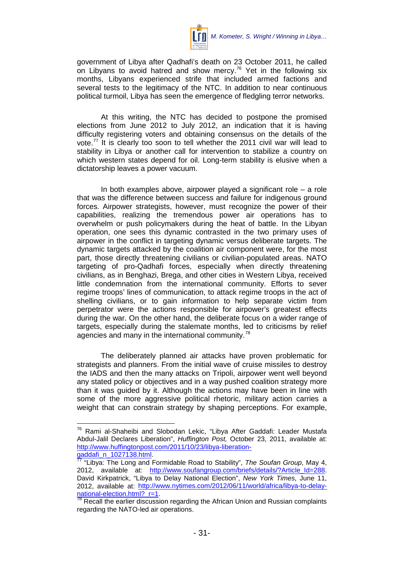

government of Libya after Qadhafi's death on 23 October 2011, he called on Libyans to avoid hatred and show mercy.<sup>[76](#page-32-0)</sup> Yet in the following six months, Libyans experienced strife that included armed factions and several tests to the legitimacy of the NTC. In addition to near continuous political turmoil, Libya has seen the emergence of fledgling terror networks.

At this writing, the NTC has decided to postpone the promised elections from June 2012 to July 2012, an indication that it is having difficulty registering voters and obtaining consensus on the details of the vote.<sup>[77](#page-32-1)</sup> It is clearly too soon to tell whether the 2011 civil war will lead to stability in Libya or another call for intervention to stabilize a country on which western states depend for oil. Long-term stability is elusive when a dictatorship leaves a power vacuum.

In both examples above, airpower played a significant role  $-$  a role that was the difference between success and failure for indigenous ground forces. Airpower strategists, however, must recognize the power of their capabilities, realizing the tremendous power air operations has to overwhelm or push policymakers during the heat of battle. In the Libyan operation, one sees this dynamic contrasted in the two primary uses of airpower in the conflict in targeting dynamic versus deliberate targets. The dynamic targets attacked by the coalition air component were, for the most part, those directly threatening civilians or civilian-populated areas. NATO targeting of pro-Qadhafi forces, especially when directly threatening civilians, as in Benghazi, Brega, and other cities in Western Libya, received little condemnation from the international community. Efforts to sever regime troops' lines of communication, to attack regime troops in the act of shelling civilians, or to gain information to help separate victim from perpetrator were the actions responsible for airpower's greatest effects during the war. On the other hand, the deliberate focus on a wider range of targets, especially during the stalemate months, led to criticisms by relief agencies and many in the international community.<sup>[78](#page-32-2)</sup>

The deliberately planned air attacks have proven problematic for strategists and planners. From the initial wave of cruise missiles to destroy the IADS and then the many attacks on Tripoli, airpower went well beyond any stated policy or objectives and in a way pushed coalition strategy more than it was guided by it. Although the actions may have been in line with some of the more aggressive political rhetoric, military action carries a weight that can constrain strategy by shaping perceptions. For example,

<span id="page-32-0"></span><sup>76</sup> Rami al-Shaheibi and Slobodan Lekic, "Libya After Gaddafi: Leader Mustafa Abdul-Jalil Declares Liberation", *Huffington Post,* October 23, 2011, available at: [http://www.huffingtonpost.com/2011/10/23/libya-liberation-](http://www.huffingtonpost.com/2011/10/23/libya-liberation-gaddafi_n_1027138.html)

<span id="page-32-1"></span>[gaddafi\\_n\\_1027138.html.](http://www.huffingtonpost.com/2011/10/23/libya-liberation-gaddafi_n_1027138.html) 77 "Libya: The Long and Formidable Road to Stability", *The Soufan Group*, May 4, 2012, available at: [http://www.soufangroup.com/briefs/details/?Article\\_Id=288.](http://www.soufangroup.com/briefs/details/?Article_Id=288) David Kirkpatrick, "Libya to Delay National Election", *New York Times,* June 11, 2012, available at: http://www.nytimes.com/2012/06/11/world/africa/libya-to-delay-<br>national-election.html?\_r=1.<br><sup>78</sup> Beaseli the seriism

<span id="page-32-2"></span>Recall the earlier discussion regarding the African Union and Russian complaints regarding the NATO-led air operations.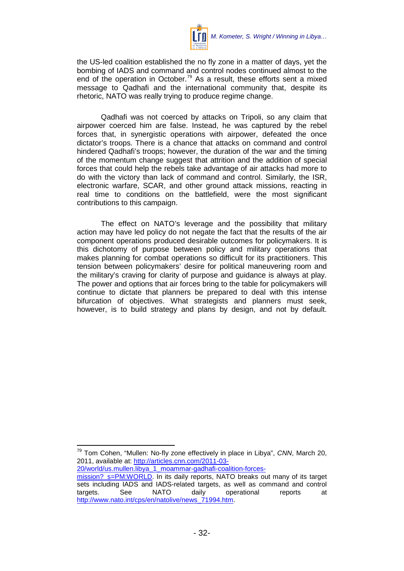

the US-led coalition established the no fly zone in a matter of days, yet the bombing of IADS and command and control nodes continued almost to the end of the operation in October.<sup>[79](#page-33-0)</sup> As a result, these efforts sent a mixed message to Qadhafi and the international community that, despite its rhetoric, NATO was really trying to produce regime change.

Qadhafi was not coerced by attacks on Tripoli, so any claim that airpower coerced him are false. Instead, he was captured by the rebel forces that, in synergistic operations with airpower, defeated the once dictator's troops. There is a chance that attacks on command and control hindered Qadhafi's troops; however, the duration of the war and the timing of the momentum change suggest that attrition and the addition of special forces that could help the rebels take advantage of air attacks had more to do with the victory than lack of command and control. Similarly, the ISR, electronic warfare, SCAR, and other ground attack missions, reacting in real time to conditions on the battlefield, were the most significant contributions to this campaign.

The effect on NATO's leverage and the possibility that military action may have led policy do not negate the fact that the results of the air component operations produced desirable outcomes for policymakers. It is this dichotomy of purpose between policy and military operations that makes planning for combat operations so difficult for its practitioners. This tension between policymakers' desire for political maneuvering room and the military's craving for clarity of purpose and guidance is always at play. The power and options that air forces bring to the table for policymakers will continue to dictate that planners be prepared to deal with this intense bifurcation of objectives. What strategists and planners must seek, however, is to build strategy and plans by design, and not by default.

[20/world/us.mullen.libya\\_1\\_moammar-gadhafi-coalition-forces](http://articles.cnn.com/2011-03-20/world/us.mullen.libya_1_moammar-gadhafi-coalition-forces-mission?_s=PM:WORLD)[mission?\\_s=PM:WORLD.](http://articles.cnn.com/2011-03-20/world/us.mullen.libya_1_moammar-gadhafi-coalition-forces-mission?_s=PM:WORLD) In its daily reports, NATO breaks out many of its target sets including IADS and IADS-related targets, as well as command and control targets. See NATO daily operational reports at [http://www.nato.int/cps/en/natolive/news\\_71994.htm.](http://www.nato.int/cps/en/natolive/news_71994.htm)

<span id="page-33-0"></span><sup>79</sup> Tom Cohen, "Mullen: No-fly zone effectively in place in Libya", *CNN*, March 20, 2011, available at: [http://articles.cnn.com/2011-03-](http://articles.cnn.com/2011-03-20/world/us.mullen.libya_1_moammar-gadhafi-coalition-forces-mission?_s=PM:WORLD)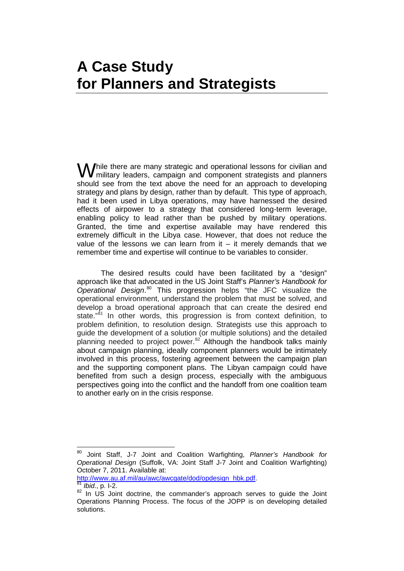### <span id="page-34-0"></span>**A Case Study for Planners and Strategists**

hile there are many strategic and operational lessons for civilian and **While there are many strategic and operational lessons for civilian and military leaders, campaign and component strategists and planners** should see from the text above the need for an approach to developing strategy and plans by design, rather than by default. This type of approach, had it been used in Libya operations, may have harnessed the desired effects of airpower to a strategy that considered long-term leverage, enabling policy to lead rather than be pushed by military operations. Granted, the time and expertise available may have rendered this extremely difficult in the Libya case. However, that does not reduce the value of the lessons we can learn from it  $-$  it merely demands that we remember time and expertise will continue to be variables to consider.

The desired results could have been facilitated by a "design" approach like that advocated in the US Joint Staff's *Planner's Handbook for Operational Design*. [80](#page-34-1) This progression helps "the JFC visualize the operational environment, understand the problem that must be solved, and develop a broad operational approach that can create the desired end state."<sup>[81](#page-34-2)</sup> In other words, this progression is from context definition, to problem definition, to resolution design. Strategists use this approach to guide the development of a solution (or multiple solutions) and the detailed planning needed to project power.<sup>[82](#page-34-3)</sup> Although the handbook talks mainly about campaign planning, ideally component planners would be intimately involved in this process, fostering agreement between the campaign plan and the supporting component plans. The Libyan campaign could have benefited from such a design process, especially with the ambiguous perspectives going into the conflict and the handoff from one coalition team to another early on in the crisis response.

[http://www.au.af.mil/au/awc/awcgate/dod/opdesign\\_hbk.pdf.](http://www.au.af.mil/au/awc/awcgate/dod/opdesign_hbk.pdf) [81](http://www.au.af.mil/au/awc/awcgate/dod/opdesign_hbk.pdf) *Ibid*., p. I-2.

<span id="page-34-1"></span><sup>80</sup> Joint Staff, J-7 Joint and Coalition Warfighting, *Planner's Handbook for Operational Design* (Suffolk, VA: Joint Staff J-7 Joint and Coalition Warfighting) October 7, 2011. Available at:

<span id="page-34-3"></span><span id="page-34-2"></span><sup>82</sup> In US Joint doctrine, the commander's approach serves to guide the Joint Operations Planning Process. The focus of the JOPP is on developing detailed solutions.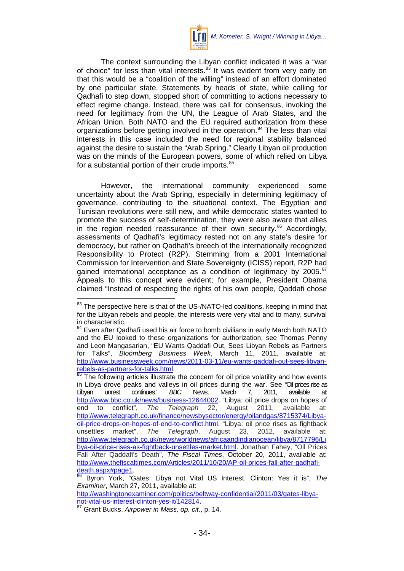

The context surrounding the Libyan conflict indicated it was a "war of choice" for less than vital interests.<sup>[83](#page-35-0)</sup> It was evident from very early on that this would be a "coalition of the willing" instead of an effort dominated by one particular state. Statements by heads of state, while calling for Qadhafi to step down, stopped short of committing to actions necessary to effect regime change. Instead, there was call for consensus, invoking the need for legitimacy from the UN, the League of Arab States, and the African Union. Both NATO and the EU required authorization from these organizations before getting involved in the operation.<sup>[84](#page-35-1)</sup> The less than vital interests in this case included the need for regional stability balanced against the desire to sustain the "Arab Spring." Clearly Libyan oil production was on the minds of the European powers, some of which relied on Libya for a substantial portion of their crude imports.<sup>[85](#page-35-2)</sup>

However, the international community experienced some uncertainty about the Arab Spring, especially in determining legitimacy of governance, contributing to the situational context. The Egyptian and Tunisian revolutions were still new, and while democratic states wanted to promote the success of self-determination, they were also aware that allies in the region needed reassurance of their own security. $86$  Accordingly, assessments of Qadhafi's legitimacy rested not on any state's desire for democracy, but rather on Qadhafi's breech of the internationally recognized Responsibility to Protect (R2P). Stemming from a 2001 International Commission for Intervention and State Sovereignty (ICISS) report, R2P had gained international acceptance as a condition of legitimacy by 2005. $87$ Appeals to this concept were evident; for example, President Obama claimed "Instead of respecting the rights of his own people, Qaddafi chose

http://washingtonexaminer.com/politics/beltway-confidential/2011/03/gates-libya-<br>not-vital-us-interest-clinton-yes-it/142814

<span id="page-35-0"></span><sup>&</sup>lt;sup>83</sup> The perspective here is that of the US-/NATO-led coalitions, keeping in mind that for the Libyan rebels and people, the interests were very vital and to many, survival in characteristic.

<span id="page-35-1"></span><sup>&</sup>lt;sup>84</sup> Even after Qadhafi used his air force to bomb civilians in early March both NATO and the EU looked to these organizations for authorization, see Thomas Penny and Leon Mangasarian, "EU Wants Qaddafi Out, Sees Libyan Rebels as Partners for Talks", *Bloomberg Business Week*, March 11, 2011, available at: http://www.businessweek.com/news/2011-03-11/eu-wants-qaddafi-out-sees-libyan-<br>rebels-as-partners-for-talks.html.

<span id="page-35-2"></span>The following articles illustrate the concern for oil price volatility and how events in Libya drove peaks and valleys in oil prices during the war. See "Oil prices rise as<br>Libyan unrest continues". BBC News. March 7. 2011. available at: Libyan unrest continues", *BBC* News, March 7, 2011, available at: [http://www.bbc.co.uk/news/business-12644002.](http://www.bbc.co.uk/news/business-12644002) "Libya: oil price drops on hopes of end to conflict", *The Telegraph* 22, August 2011, available at: [http://www.telegraph.co.uk/finance/newsbysector/energy/oilandgas/8715374/Libya](http://www.telegraph.co.uk/finance/newsbysector/energy/oilandgas/8715374/Libya-oil-price-drops-on-hopes-of-end-to-conflict.html)[oil-price-drops-on-hopes-of-end-to-conflict.html.](http://www.telegraph.co.uk/finance/newsbysector/energy/oilandgas/8715374/Libya-oil-price-drops-on-hopes-of-end-to-conflict.html) "Libya: oil price rises as fightback<br>unsettles market", The Telegraph, August 23, 2012, available at: unsettles market", *The Telegraph*, August 23, 2012, available at: [http://www.telegraph.co.uk/news/worldnews/africaandindianocean/libya/8717796/Li](http://www.telegraph.co.uk/news/worldnews/africaandindianocean/libya/8717796/Libya-oil-price-rises-as-fightback-unsettles-market.html) [bya-oil-price-rises-as-fightback-unsettles-market.html.](http://www.telegraph.co.uk/news/worldnews/africaandindianocean/libya/8717796/Libya-oil-price-rises-as-fightback-unsettles-market.html) Jonathan Fahey, "Oil Prices Fall After Qaddafi's Death", *The Fiscal Times*, October 20, 2011, available at: http://www.thefiscaltimes.com/Articles/2011/10/20/AP-oil-prices-fall-after-gadhafi-<br>death.aspx#page1.<br><sup>86</sup> Burga York: "Cotoo: Libys ast Vital US Interest. Clinton, York: "The

<span id="page-35-3"></span>Byron York, "Gates: Libya not Vital US Interest. Clinton: Yes it is", The *Examiner*, March 27, 2011, available at:

<span id="page-35-4"></span><sup>&</sup>lt;sup>[87](http://washingtonexaminer.com/politics/beltway-confidential/2011/03/gates-libya-not-vital-us-interest-clinton-yes-it/142814)</sup> Grant Bucks, Airpower in Mass, op. cit., p. 14.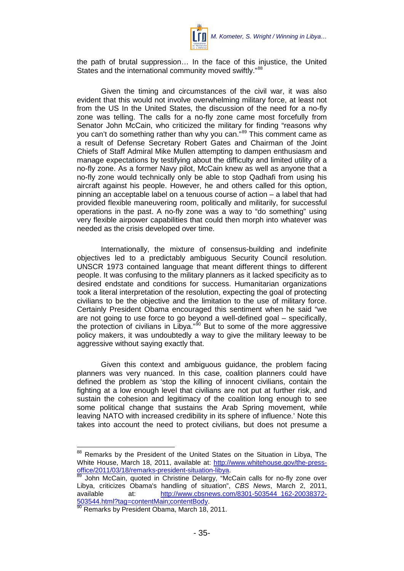

the path of brutal suppression… In the face of this injustice, the United States and the international community moved swiftly."<sup>[88](#page-36-0)</sup>

Given the timing and circumstances of the civil war, it was also evident that this would not involve overwhelming military force, at least not from the US In the United States, the discussion of the need for a no-fly zone was telling. The calls for a no-fly zone came most forcefully from Senator John McCain, who criticized the military for finding "reasons why you can't do something rather than why you can."<sup>[89](#page-36-1)</sup> This comment came as a result of Defense Secretary Robert Gates and Chairman of the Joint Chiefs of Staff Admiral Mike Mullen attempting to dampen enthusiasm and manage expectations by testifying about the difficulty and limited utility of a no-fly zone. As a former Navy pilot, McCain knew as well as anyone that a no-fly zone would technically only be able to stop Qadhafi from using his aircraft against his people. However, he and others called for this option, pinning an acceptable label on a tenuous course of action – a label that had provided flexible maneuvering room, politically and militarily, for successful operations in the past. A no-fly zone was a way to "do something" using very flexible airpower capabilities that could then morph into whatever was needed as the crisis developed over time.

Internationally, the mixture of consensus-building and indefinite objectives led to a predictably ambiguous Security Council resolution. UNSCR 1973 contained language that meant different things to different people. It was confusing to the military planners as it lacked specificity as to desired endstate and conditions for success. Humanitarian organizations took a literal interpretation of the resolution, expecting the goal of protecting civilians to be the objective and the limitation to the use of military force. Certainly President Obama encouraged this sentiment when he said "we are not going to use force to go beyond a well-defined goal – specifically, the protection of civilians in Libya."<sup>[90](#page-36-2)</sup> But to some of the more aggressive policy makers, it was undoubtedly a way to give the military leeway to be aggressive without saying exactly that.

Given this context and ambiguous guidance, the problem facing planners was very nuanced. In this case, coalition planners could have defined the problem as 'stop the killing of innocent civilians, contain the fighting at a low enough level that civilians are not put at further risk, and sustain the cohesion and legitimacy of the coalition long enough to see some political change that sustains the Arab Spring movement, while leaving NATO with increased credibility in its sphere of influence.' Note this takes into account the need to protect civilians, but does not presume a

<span id="page-36-0"></span><sup>88</sup> Remarks by the President of the United States on the Situation in Libya, The White House, March 18, 2011, available at: http://www.whitehouse.gov/the-press-<br>office/2011/03/18/remarks-president-situation-libya.

<span id="page-36-1"></span>John McCain, quoted in Christine Delargy, "McCain calls for no-fly zone over Libya, criticizes Obama's handling of situation", *CBS News*, March 2, 2011, available at: [http://www.cbsnews.com/8301-503544\\_162-20038372-](http://www.cbsnews.com/8301-503544_162-20038372-503544.html?tag=contentMain;contentBody)<br>503544.html?taq=contentMain:contentBody.

<span id="page-36-2"></span> $\frac{500344.11111111434}{500}$  Remarks by President Obama, March 18, 2011.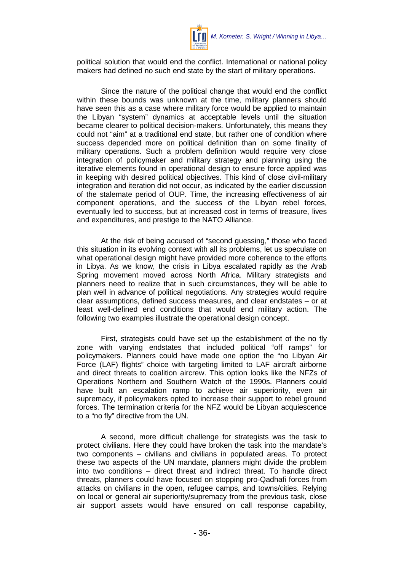

political solution that would end the conflict. International or national policy makers had defined no such end state by the start of military operations.

Since the nature of the political change that would end the conflict within these bounds was unknown at the time, military planners should have seen this as a case where military force would be applied to maintain the Libyan "system" dynamics at acceptable levels until the situation became clearer to political decision-makers. Unfortunately, this means they could not "aim" at a traditional end state, but rather one of condition where success depended more on political definition than on some finality of military operations. Such a problem definition would require very close integration of policymaker and military strategy and planning using the iterative elements found in operational design to ensure force applied was in keeping with desired political objectives. This kind of close civil-military integration and iteration did not occur, as indicated by the earlier discussion of the stalemate period of OUP. Time, the increasing effectiveness of air component operations, and the success of the Libyan rebel forces, eventually led to success, but at increased cost in terms of treasure, lives and expenditures, and prestige to the NATO Alliance.

At the risk of being accused of "second guessing," those who faced this situation in its evolving context with all its problems, let us speculate on what operational design might have provided more coherence to the efforts in Libya. As we know, the crisis in Libya escalated rapidly as the Arab Spring movement moved across North Africa. Military strategists and planners need to realize that in such circumstances, they will be able to plan well in advance of political negotiations. Any strategies would require clear assumptions, defined success measures, and clear endstates – or at least well-defined end conditions that would end military action. The following two examples illustrate the operational design concept.

First, strategists could have set up the establishment of the no fly zone with varying endstates that included political "off ramps" for policymakers. Planners could have made one option the "no Libyan Air Force (LAF) flights" choice with targeting limited to LAF aircraft airborne and direct threats to coalition aircrew. This option looks like the NFZs of Operations Northern and Southern Watch of the 1990s. Planners could have built an escalation ramp to achieve air superiority, even air supremacy, if policymakers opted to increase their support to rebel ground forces. The termination criteria for the NFZ would be Libyan acquiescence to a "no fly" directive from the UN.

A second, more difficult challenge for strategists was the task to protect civilians. Here they could have broken the task into the mandate's two components – civilians and civilians in populated areas. To protect these two aspects of the UN mandate, planners might divide the problem into two conditions – direct threat and indirect threat. To handle direct threats, planners could have focused on stopping pro-Qadhafi forces from attacks on civilians in the open, refugee camps, and towns/cities. Relying on local or general air superiority/supremacy from the previous task, close air support assets would have ensured on call response capability,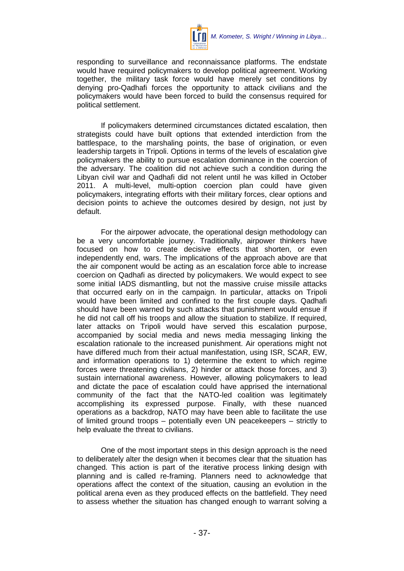

responding to surveillance and reconnaissance platforms. The endstate would have required policymakers to develop political agreement. Working together, the military task force would have merely set conditions by denying pro-Qadhafi forces the opportunity to attack civilians and the policymakers would have been forced to build the consensus required for political settlement.

If policymakers determined circumstances dictated escalation, then strategists could have built options that extended interdiction from the battlespace, to the marshaling points, the base of origination, or even leadership targets in Tripoli. Options in terms of the levels of escalation give policymakers the ability to pursue escalation dominance in the coercion of the adversary. The coalition did not achieve such a condition during the Libyan civil war and Qadhafi did not relent until he was killed in October 2011. A multi-level, multi-option coercion plan could have given policymakers, integrating efforts with their military forces, clear options and decision points to achieve the outcomes desired by design, not just by default.

For the airpower advocate, the operational design methodology can be a very uncomfortable journey. Traditionally, airpower thinkers have focused on how to create decisive effects that shorten, or even independently end, wars. The implications of the approach above are that the air component would be acting as an escalation force able to increase coercion on Qadhafi as directed by policymakers. We would expect to see some initial IADS dismantling, but not the massive cruise missile attacks that occurred early on in the campaign. In particular, attacks on Tripoli would have been limited and confined to the first couple days. Qadhafi should have been warned by such attacks that punishment would ensue if he did not call off his troops and allow the situation to stabilize. If required, later attacks on Tripoli would have served this escalation purpose, accompanied by social media and news media messaging linking the escalation rationale to the increased punishment. Air operations might not have differed much from their actual manifestation, using ISR, SCAR, EW, and information operations to 1) determine the extent to which regime forces were threatening civilians, 2) hinder or attack those forces, and 3) sustain international awareness. However, allowing policymakers to lead and dictate the pace of escalation could have apprised the international community of the fact that the NATO-led coalition was legitimately accomplishing its expressed purpose. Finally, with these nuanced operations as a backdrop, NATO may have been able to facilitate the use of limited ground troops – potentially even UN peacekeepers – strictly to help evaluate the threat to civilians.

One of the most important steps in this design approach is the need to deliberately alter the design when it becomes clear that the situation has changed. This action is part of the iterative process linking design with planning and is called re-framing. Planners need to acknowledge that operations affect the context of the situation, causing an evolution in the political arena even as they produced effects on the battlefield. They need to assess whether the situation has changed enough to warrant solving a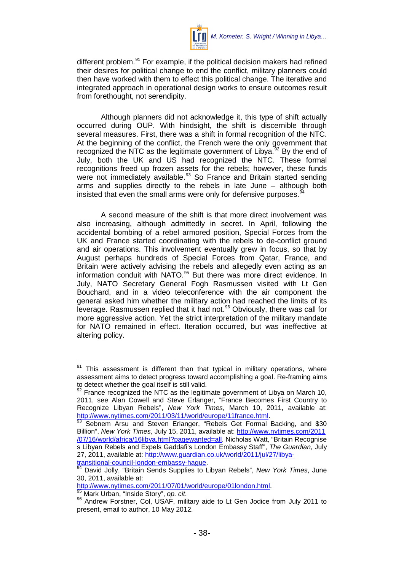

different problem.<sup>[91](#page-39-0)</sup> For example, if the political decision makers had refined their desires for political change to end the conflict, military planners could then have worked with them to effect this political change. The iterative and integrated approach in operational design works to ensure outcomes result from forethought, not serendipity.

Although planners did not acknowledge it, this type of shift actually occurred during OUP. With hindsight, the shift is discernible through several measures. First, there was a shift in formal recognition of the NTC. At the beginning of the conflict, the French were the only government that recognized the NTC as the legitimate government of Libya.<sup>[92](#page-39-1)</sup> By the end of July, both the UK and US had recognized the NTC. These formal recognitions freed up frozen assets for the rebels; however, these funds were not immediately available.<sup>[93](#page-39-2)</sup> So France and Britain started sending arms and supplies directly to the rebels in late June – although both insisted that even the small arms were only for defensive purposes.<sup>9</sup>

A second measure of the shift is that more direct involvement was also increasing, although admittedly in secret. In April, following the accidental bombing of a rebel armored position, Special Forces from the UK and France started coordinating with the rebels to de-conflict ground and air operations. This involvement eventually grew in focus, so that by August perhaps hundreds of Special Forces from Qatar, France, and Britain were actively advising the rebels and allegedly even acting as an information conduit with NATO.<sup>[95](#page-39-4)</sup> But there was more direct evidence. In July, NATO Secretary General Fogh Rasmussen visited with Lt Gen Bouchard, and in a video teleconference with the air component the general asked him whether the military action had reached the limits of its leverage. Rasmussen replied that it had not.<sup>[96](#page-39-5)</sup> Obviously, there was call for more aggressive action. Yet the strict interpretation of the military mandate for NATO remained in effect. Iteration occurred, but was ineffective at altering policy.

<span id="page-39-0"></span><sup>&</sup>lt;sup>91</sup> This assessment is different than that typical in military operations, where assessment aims to detect progress toward accomplishing a goal. Re-framing aims to detect whether the goal itself is still valid.

<span id="page-39-1"></span><sup>92</sup> France recognized the NTC as the legitimate government of Libya on March 10, 2011, see Alan Cowell and Steve Erlanger, "France Becomes First Country to Recognize Libyan Rebels", *New York Times*, March 10, 2011, available at: [http://www.nytimes.com/2011/03/11/world/europe/11france.html.](http://www.nytimes.com/2011/03/11/world/europe/11france.html)<br><sup>[93](http://www.nytimes.com/2011/03/11/world/europe/11france.html)</sup> Sebnem Arsu and Steven Erlanger, "Rebels Get Formal Backing, and \$30

<span id="page-39-2"></span>Billion", *New York Times*, July 15, 2011, available at: [http://www.nytimes.com/2011](http://www.nytimes.com/2011/07/16/world/africa/16libya.html?pagewanted=all) [/07/16/world/africa/16libya.html?pagewanted=all.](http://www.nytimes.com/2011/07/16/world/africa/16libya.html?pagewanted=all) Nicholas Watt, "Britain Recognise s Libyan Rebels and Expels Gaddafi's London Embassy Staff", *The Guardian*, July 27, 2011, available at: [http://www.guardian.co.uk/world/2011/jul/27/libya-](http://www.guardian.co.uk/world/2011/jul/27/libya-transitional-council-london-embassy-hague)

[transitional-council-london-embassy-hague.](http://www.guardian.co.uk/world/2011/jul/27/libya-transitional-council-london-embassy-hague)<br><sup>[94](http://www.guardian.co.uk/world/2011/jul/27/libya-transitional-council-london-embassy-hague)</sup> David Jolly, "Britain Sends Supplies to Libyan Rebels", *New York Times*, June

<span id="page-39-3"></span><sup>30, 2011,</sup> available at:<br>http://www.nytimes.com/2011/07/01/world/europe/01london.html.

<span id="page-39-5"></span><span id="page-39-4"></span><sup>&</sup>lt;sup>95</sup> Mark Urban, "Inside Story", *op. cit*. **Example:** 6 Mark Urban, "Inside Story", *op. cit*. 86 Andrew Forstner, Col, USAF, military aide to Lt Gen Jodice from July 2011 to present, email to author, 10 May 2012.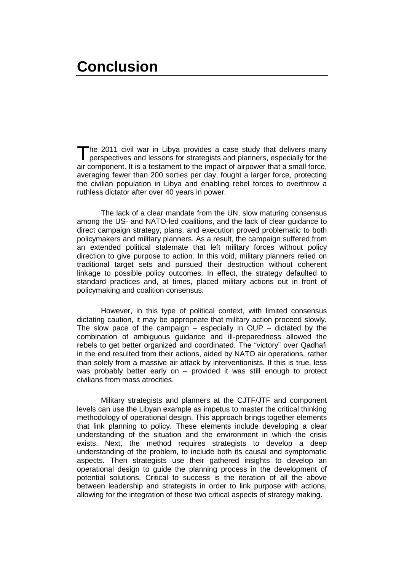<span id="page-40-0"></span>he 2011 civil war in Libya provides a case study that delivers many perspectives and lessons for strategists and planners, especially for the air component. It is a testament to the impact of airpower that a small force, averaging fewer than 200 sorties per day, fought a larger force, protecting the civilian population in Libya and enabling rebel forces to overthrow a ruthless dictator after over 40 years in power.  $\prod_{i=1}^n$ 

The lack of a clear mandate from the UN, slow maturing consensus among the US- and NATO-led coalitions, and the lack of clear guidance to direct campaign strategy, plans, and execution proved problematic to both policymakers and military planners. As a result, the campaign suffered from an extended political stalemate that left military forces without policy direction to give purpose to action. In this void, military planners relied on traditional target sets and pursued their destruction without coherent linkage to possible policy outcomes. In effect, the strategy defaulted to standard practices and, at times, placed military actions out in front of policymaking and coalition consensus.

However, in this type of political context, with limited consensus dictating caution, it may be appropriate that military action proceed slowly. The slow pace of the campaign  $-$  especially in OUP  $-$  dictated by the combination of ambiguous guidance and ill-preparedness allowed the rebels to get better organized and coordinated. The "victory" over Qadhafi in the end resulted from their actions, aided by NATO air operations, rather than solely from a massive air attack by interventionists. If this is true, less was probably better early on – provided it was still enough to protect civilians from mass atrocities.

Military strategists and planners at the CJTF/JTF and component levels can use the Libyan example as impetus to master the critical thinking methodology of operational design. This approach brings together elements that link planning to policy. These elements include developing a clear understanding of the situation and the environment in which the crisis exists. Next, the method requires strategists to develop a deep understanding of the problem, to include both its causal and symptomatic aspects. Then strategists use their gathered insights to develop an operational design to guide the planning process in the development of potential solutions. Critical to success is the iteration of all the above between leadership and strategists in order to link purpose with actions, allowing for the integration of these two critical aspects of strategy making.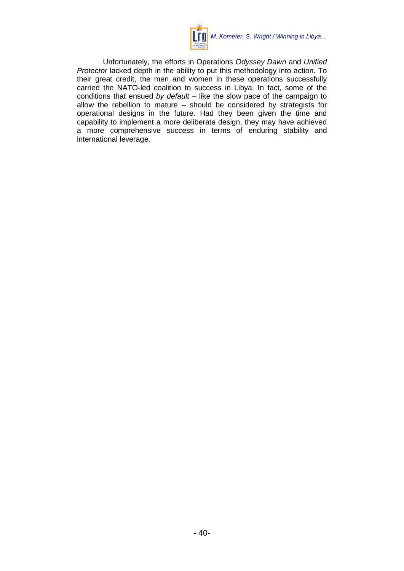

Unfortunately, the efforts in Operations *Odyssey Dawn* and *Unified Protector* lacked depth in the ability to put this methodology into action. To their great credit, the men and women in these operations successfully carried the NATO-led coalition to success in Libya. In fact, some of the conditions that ensued *by default –* like the slow pace of the campaign to allow the rebellion to mature – should be considered by strategists for operational designs in the future. Had they been given the time and capability to implement a more deliberate design, they may have achieved a more comprehensive success in terms of enduring stability and international leverage.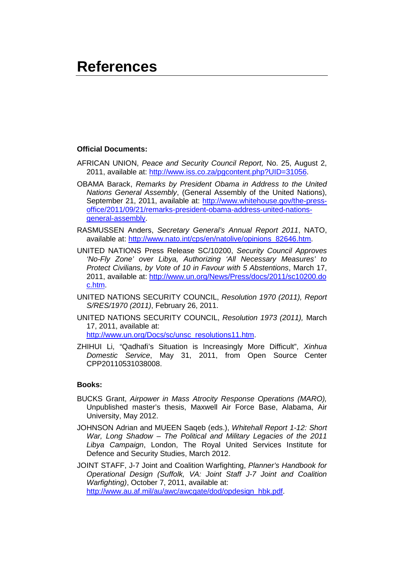### <span id="page-42-0"></span>**References**

#### **Official Documents:**

- AFRICAN UNION, *Peace and Security Council Report,* No. 25, August 2, 2011, available at: [http://www.iss.co.za/pgcontent.php?UID=31056.](http://www.iss.co.za/pgcontent.php?UID=31056)
- OBAMA Barack, *Remarks by President Obama in Address to the United Nations General Assembly*, (General Assembly of the United Nations), September 21, 2011, available at: [http://www.whitehouse.gov/the-press](http://www.whitehouse.gov/the-press-office/2011/09/21/remarks-president-obama-address-united-nations-general-assembly)[office/2011/09/21/remarks-president-obama-address-united-nations](http://www.whitehouse.gov/the-press-office/2011/09/21/remarks-president-obama-address-united-nations-general-assembly)[general-assembly.](http://www.whitehouse.gov/the-press-office/2011/09/21/remarks-president-obama-address-united-nations-general-assembly)
- RASMUSSEN Anders, *Secretary General's Annual Report 2011*, NATO, available at: [http://www.nato.int/cps/en/natolive/opinions\\_82646.htm.](http://www.nato.int/cps/en/natolive/opinions_82646.htm)
- UNITED NATIONS Press Release SC/10200, *Security Council Approves 'No-Fly Zone' over Libya, Authorizing 'All Necessary Measures' to Protect Civilians, by Vote of 10 in Favour with 5 Abstentions*, March 17, 2011, available at: [http://www.un.org/News/Press/docs/2011/sc10200.do](http://www.un.org/News/Press/docs/2011/sc10200.doc.htm) [c.htm.](http://www.un.org/News/Press/docs/2011/sc10200.doc.htm)
- UNITED NATIONS SECURITY COUNCIL, *Resolution 1970 (2011), Report S/RES/1970 (2011)*, February 26, 2011.
- UNITED NATIONS SECURITY COUNCIL, *Resolution 1973 (2011),* March 17, 2011, available at: [http://www.un.org/Docs/sc/unsc\\_resolutions11.htm.](http://www.un.org/Docs/sc/unsc_resolutions11.htm)
- ZHIHUI Li, "Qadhafi's Situation is Increasingly More Difficult", *Xinhua*
- *Domestic Service*, May 31, 2011, from Open Source Center CPP20110531038008.

#### **Books:**

- BUCKS Grant, *Airpower in Mass Atrocity Response Operations (MARO),* Unpublished master's thesis, Maxwell Air Force Base, Alabama, Air University, May 2012.
- JOHNSON Adrian and MUEEN Saqeb (eds.), *Whitehall Report 1-12: Short War, Long Shadow – The Political and Military Legacies of the 2011 Libya Campaign*, London, The Royal United Services Institute for Defence and Security Studies, March 2012.
- JOINT STAFF, J-7 Joint and Coalition Warfighting, *Planner's Handbook for Operational Design (Suffolk, VA: Joint Staff J-7 Joint and Coalition Warfighting)*, October 7, 2011, available at: [http://www.au.af.mil/au/awc/awcgate/dod/opdesign\\_hbk.pdf.](http://www.au.af.mil/au/awc/awcgate/dod/opdesign_hbk.pdf)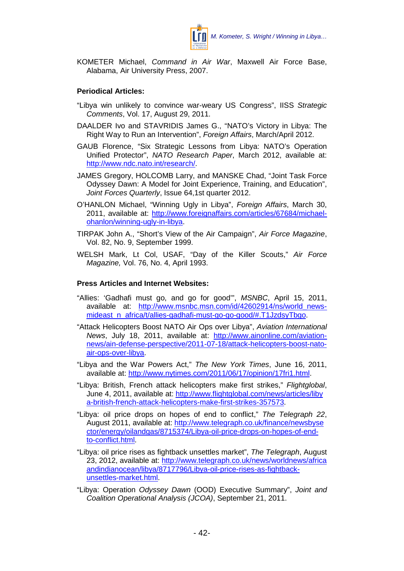

KOMETER Michael, *Command in Air War*, Maxwell Air Force Base, Alabama, Air University Press, 2007.

#### **Periodical Articles:**

- "Libya win unlikely to convince war-weary US Congress", IISS *Strategic Comments*, Vol. 17, August 29, 2011.
- DAALDER Ivo and STAVRIDIS James G., "NATO's Victory in Libya: The Right Way to Run an Intervention", *Foreign Affairs*, March/April 2012.
- GAUB Florence, "Six Strategic Lessons from Libya: NATO's Operation Unified Protector", *NATO Research Paper*, March 2012, available at: [http://www.ndc.nato.int/research/.](http://www.ndc.nato.int/research/)
- JAMES Gregory, HOLCOMB Larry, and MANSKE Chad, "Joint Task Force Odyssey Dawn: A Model for Joint Experience, Training, and Education", *Joint Forces Quarterly*, Issue 64,1st quarter 2012.
- O'HANLON Michael, "Winning Ugly in Libya", *Foreign Affairs*, March 30, 2011, available at: [http://www.foreignaffairs.com/articles/67684/michael](http://www.foreignaffairs.com/articles/67684/michael-ohanlon/winning-ugly-in-libya)[ohanlon/winning-ugly-in-libya.](http://www.foreignaffairs.com/articles/67684/michael-ohanlon/winning-ugly-in-libya)
- TIRPAK John A., "Short's View of the Air Campaign", *Air Force Magazine*, Vol. 82, No. 9, September 1999.
- WELSH Mark, Lt Col, USAF, "Day of the Killer Scouts," *Air Force Magazine,* Vol. 76, No. 4, April 1993.

#### **Press Articles and Internet Websites:**

- "Allies: 'Gadhafi must go, and go for good'", *MSNBC*, April 15, 2011, available at: [http://www.msnbc.msn.com/id/42602914/ns/world\\_news](http://www.msnbc.msn.com/id/42602914/ns/world_news-mideast_n_africa/t/allies-gadhafi-must-go-go-good/#.T1JzdsyTbgo)[mideast\\_n\\_africa/t/allies-gadhafi-must-go-go-good/#.T1JzdsyTbgo.](http://www.msnbc.msn.com/id/42602914/ns/world_news-mideast_n_africa/t/allies-gadhafi-must-go-go-good/#.T1JzdsyTbgo)
- "Attack Helicopters Boost NATO Air Ops over Libya", *Aviation International News*, July 18, 2011, available at: [http://www.ainonline.com/aviation](http://www.ainonline.com/aviation-news/ain-defense-perspective/2011-07-18/attack-helicopters-boost-nato-air-ops-over-libya)[news/ain-defense-perspective/2011-07-18/attack-helicopters-boost-nato](http://www.ainonline.com/aviation-news/ain-defense-perspective/2011-07-18/attack-helicopters-boost-nato-air-ops-over-libya)[air-ops-over-libya.](http://www.ainonline.com/aviation-news/ain-defense-perspective/2011-07-18/attack-helicopters-boost-nato-air-ops-over-libya)
- "Libya and the War Powers Act," *The New York Times*, June 16, 2011, available at: [http://www.nytimes.com/2011/06/17/opinion/17fri1.html.](http://www.nytimes.com/2011/06/17/opinion/17fri1.html)
- "Libya: British, French attack helicopters make first strikes," *Flightglobal*, June 4, 2011, available at: [http://www.flightglobal.com/news/articles/liby](http://www.flightglobal.com/news/articles/libya-british-french-attack-helicopters-make-first-strikes-357573) [a-british-french-attack-helicopters-make-first-strikes-357573.](http://www.flightglobal.com/news/articles/libya-british-french-attack-helicopters-make-first-strikes-357573)
- "Libya: oil price drops on hopes of end to conflict," *The Telegraph 22*, August 2011, available at: [http://www.telegraph.co.uk/finance/newsbyse](http://www.telegraph.co.uk/finance/newsbysector/energy/oilandgas/8715374/Libya-oil-price-drops-on-hopes-of-end-to-conflict.html) [ctor/energy/oilandgas/8715374/Libya-oil-price-drops-on-hopes-of-end](http://www.telegraph.co.uk/finance/newsbysector/energy/oilandgas/8715374/Libya-oil-price-drops-on-hopes-of-end-to-conflict.html)[to-conflict.html.](http://www.telegraph.co.uk/finance/newsbysector/energy/oilandgas/8715374/Libya-oil-price-drops-on-hopes-of-end-to-conflict.html)
- "Libya: oil price rises as fightback unsettles market", *The Telegraph*, August 23, 2012, available at: [http://www.telegraph.co.uk/news/worldnews/africa](http://www.telegraph.co.uk/news/worldnews/africaandindianocean/libya/8717796/Libya-oil-price-rises-as-fightback-unsettles-market.html) [andindianocean/libya/8717796/Libya-oil-price-rises-as-fightback](http://www.telegraph.co.uk/news/worldnews/africaandindianocean/libya/8717796/Libya-oil-price-rises-as-fightback-unsettles-market.html)[unsettles-market.html.](http://www.telegraph.co.uk/news/worldnews/africaandindianocean/libya/8717796/Libya-oil-price-rises-as-fightback-unsettles-market.html)
- "Libya: Operation *Odyssey Dawn* (OOD) Executive Summary", *Joint and Coalition Operational Analysis (JCOA)*, September 21, 2011.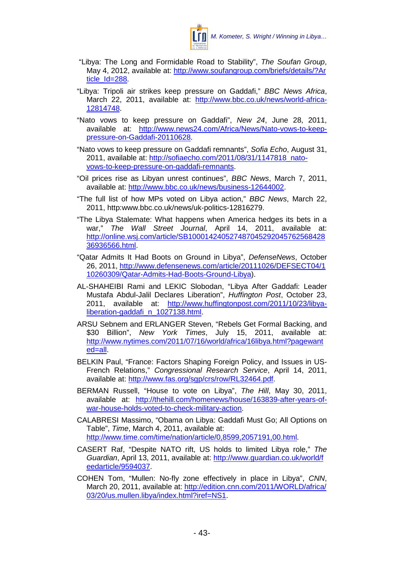

- "Libya: The Long and Formidable Road to Stability", *The Soufan Group*, May 4, 2012, available at: [http://www.soufangroup.com/briefs/details/?Ar](http://www.soufangroup.com/briefs/details/?Article_Id=288) [ticle\\_Id=288.](http://www.soufangroup.com/briefs/details/?Article_Id=288)
- "Libya: Tripoli air strikes keep pressure on Gaddafi," *BBC News Africa*, March 22, 2011, available at: [http://www.bbc.co.uk/news/world-africa-](http://www.bbc.co.uk/news/world-africa-12814748)[12814748.](http://www.bbc.co.uk/news/world-africa-12814748)
- "Nato vows to keep pressure on Gaddafi", *New 24*, June 28, 2011, available at: [http://www.news24.com/Africa/News/Nato-vows-to-keep](http://www.news24.com/Africa/News/Nato-vows-to-keep-pressure-on-Gaddafi-20110628)[pressure-on-Gaddafi-20110628.](http://www.news24.com/Africa/News/Nato-vows-to-keep-pressure-on-Gaddafi-20110628)
- "Nato vows to keep pressure on Gaddafi remnants", *Sofia Echo*, August 31, 2011, available at: [http://sofiaecho.com/2011/08/31/1147818\\_nato](http://sofiaecho.com/2011/08/31/1147818_nato-vows-to-keep-pressure-on-gaddafi-remnants)[vows-to-keep-pressure-on-gaddafi-remnants.](http://sofiaecho.com/2011/08/31/1147818_nato-vows-to-keep-pressure-on-gaddafi-remnants)
- "Oil prices rise as Libyan unrest continues", *BBC News*, March 7, 2011, available at: [http://www.bbc.co.uk/news/business-12644002.](http://www.bbc.co.uk/news/business-12644002)
- "The full list of how MPs voted on Libya action," *BBC News*, March 22, 2011, http:www.bbc.co.uk/news/uk-politics-12816279.
- "The Libya Stalemate: What happens when America hedges its bets in a war," *The Wall Street Journal*, April 14, 2011, available at: [http://online.wsj.com/article/SB100014240527487045292045762568428](http://online.wsj.com/article/SB10001424052748704529204576256842836936566.html) [36936566.html.](http://online.wsj.com/article/SB10001424052748704529204576256842836936566.html)
- "Qatar Admits It Had Boots on Ground in Libya", *DefenseNews*, October 26, 2011, [http://www.defensenews.com/article/20111026/DEFSECT04/1](http://www.defensenews.com/article/20111026/DEFSECT04/110260309/Qatar-Admits-Had-Boots-Ground-Libya) [10260309/Qatar-Admits-Had-Boots-Ground-Libya\)](http://www.defensenews.com/article/20111026/DEFSECT04/110260309/Qatar-Admits-Had-Boots-Ground-Libya).
- AL-SHAHEIBI Rami and LEKIC Slobodan, "Libya After Gaddafi: Leader Mustafa Abdul-Jalil Declares Liberation", *Huffington Post*, October 23, 2011, available at: [http://www.huffingtonpost.com/2011/10/23/libya](http://www.huffingtonpost.com/2011/10/23/libya-liberation-gaddafi_n_1027138.html)[liberation-gaddafi\\_n\\_1027138.html.](http://www.huffingtonpost.com/2011/10/23/libya-liberation-gaddafi_n_1027138.html)
- ARSU Sebnem and ERLANGER Steven, "Rebels Get Formal Backing, and \$30 Billion", *New York Times*, July 15, 2011, available at: [http://www.nytimes.com/2011/07/16/world/africa/16libya.html?pagewant](http://www.nytimes.com/2011/07/16/world/africa/16libya.html?pagewanted=all) [ed=all.](http://www.nytimes.com/2011/07/16/world/africa/16libya.html?pagewanted=all)
- BELKIN Paul, "France: Factors Shaping Foreign Policy, and Issues in US-French Relations," *Congressional Research Service*, April 14, 2011, available at: [http://www.fas.org/sgp/crs/row/RL32464.pdf.](http://www.fas.org/sgp/crs/row/RL32464.pdf)
- BERMAN Russell, "House to vote on Libya", *The Hill*, May 30, 2011, available at: [http://thehill.com/homenews/house/163839-after-years-of](http://thehill.com/homenews/house/163839-after-years-of-war-house-holds-voted-to-check-military-action)[war-house-holds-voted-to-check-military-action.](http://thehill.com/homenews/house/163839-after-years-of-war-house-holds-voted-to-check-military-action)
- CALABRESI Massimo, "Obama on Libya: Gaddafi Must Go; All Options on Table", *Time*, March 4, 2011, available at: [http://www.time.com/time/nation/article/0,8599,2057191,00.html.](http://www.time.com/time/nation/article/0,8599,2057191,00.html)
- CASERT Raf, "Despite NATO rift, US holds to limited Libya role," *The Guardian*, April 13, 2011, available at: [http://www.guardian.co.uk/world/f](http://www.guardian.co.uk/world/feedarticle/9594037) [eedarticle/9594037.](http://www.guardian.co.uk/world/feedarticle/9594037)
- COHEN Tom, "Mullen: No-fly zone effectively in place in Libya", *CNN*, March 20, 2011, available at: [http://edition.cnn.com/2011/WORLD/africa/](http://edition.cnn.com/2011/WORLD/africa/03/20/us.mullen.libya/index.html?iref=NS1) [03/20/us.mullen.libya/index.html?iref=NS1.](http://edition.cnn.com/2011/WORLD/africa/03/20/us.mullen.libya/index.html?iref=NS1)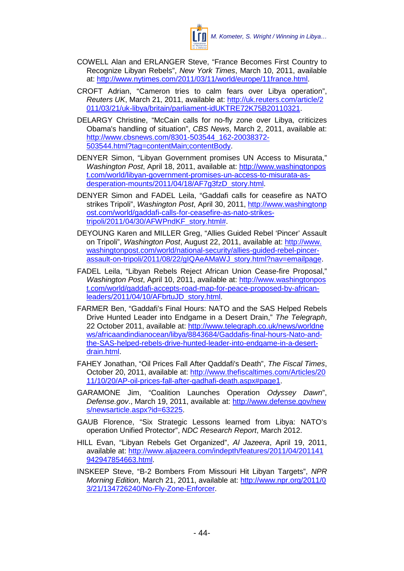

- COWELL Alan and ERLANGER Steve, "France Becomes First Country to Recognize Libyan Rebels", *New York Times*, March 10, 2011, available at: [http://www.nytimes.com/2011/03/11/world/europe/11france.html.](http://www.nytimes.com/2011/03/11/world/europe/11france.html)
- CROFT Adrian, "Cameron tries to calm fears over Libya operation", *Reuters UK*, March 21, 2011, available at: [http://uk.reuters.com/article/2](http://uk.reuters.com/article/2011/03/21/uk-libya/britain/parliament-idUKTRE72K75B20110321) [011/03/21/uk-libya/britain/parliament-idUKTRE72K75B20110321.](http://uk.reuters.com/article/2011/03/21/uk-libya/britain/parliament-idUKTRE72K75B20110321)
- DELARGY Christine, "McCain calls for no-fly zone over Libya, criticizes Obama's handling of situation", *CBS News*, March 2, 2011, available at: [http://www.cbsnews.com/8301-503544\\_162-20038372-](http://www.cbsnews.com/8301-503544_162-20038372-503544.html?tag=contentMain;contentBody) [503544.html?tag=contentMain;contentBody.](http://www.cbsnews.com/8301-503544_162-20038372-503544.html?tag=contentMain;contentBody)
- DENYER Simon, "Libyan Government promises UN Access to Misurata," *Washington Post*, April 18, 2011, available at: [http://www.washingtonpos](http://www.washingtonpost.com/world/libyan-government-promises-un-access-to-misurata-as-desperation-mounts/2011/04/18/AF7g3fzD_story.html) [t.com/world/libyan-government-promises-un-access-to-misurata-as](http://www.washingtonpost.com/world/libyan-government-promises-un-access-to-misurata-as-desperation-mounts/2011/04/18/AF7g3fzD_story.html)[desperation-mounts/2011/04/18/AF7g3fzD\\_story.html.](http://www.washingtonpost.com/world/libyan-government-promises-un-access-to-misurata-as-desperation-mounts/2011/04/18/AF7g3fzD_story.html)
- DENYER Simon and FADEL Leila, "Gaddafi calls for ceasefire as NATO strikes Tripoli", *Washington Post*, April 30, 2011, [http://www.washingtonp](http://www.washingtonpost.com/world/gaddafi-calls-for-ceasefire-as-nato-strikes-tripoli/2011/04/30/AFWPndKF_story.html) [ost.com/world/gaddafi-calls-for-ceasefire-as-nato-strikes](http://www.washingtonpost.com/world/gaddafi-calls-for-ceasefire-as-nato-strikes-tripoli/2011/04/30/AFWPndKF_story.html)[tripoli/2011/04/30/AFWPndKF\\_story.html#.](http://www.washingtonpost.com/world/gaddafi-calls-for-ceasefire-as-nato-strikes-tripoli/2011/04/30/AFWPndKF_story.html)
- DEYOUNG Karen and MILLER Greg, "Allies Guided Rebel 'Pincer' Assault on Tripoli", *Washington Post*, August 22, 2011, available at: [http://www.](http://www.washingtonpost.com/world/national-security/allies-guided-rebel-pincer-assault-on-tripoli/2011/08/22/gIQAeAMaWJ_story.html?nav=emailpage) [washingtonpost.com/world/national-security/allies-guided-rebel-pincer](http://www.washingtonpost.com/world/national-security/allies-guided-rebel-pincer-assault-on-tripoli/2011/08/22/gIQAeAMaWJ_story.html?nav=emailpage)[assault-on-tripoli/2011/08/22/gIQAeAMaWJ\\_story.html?nav=emailpage.](http://www.washingtonpost.com/world/national-security/allies-guided-rebel-pincer-assault-on-tripoli/2011/08/22/gIQAeAMaWJ_story.html?nav=emailpage)
- FADEL Leila, "Libyan Rebels Reject African Union Cease-fire Proposal," *Washington Post*, April 10, 2011, available at: [http://www.washingtonpos](http://www.washingtonpost.com/world/gaddafi-accepts-road-map-for-peace-proposed-by-african-leaders/2011/04/10/AFbrtuJD_story.html) [t.com/world/gaddafi-accepts-road-map-for-peace-proposed-by-african](http://www.washingtonpost.com/world/gaddafi-accepts-road-map-for-peace-proposed-by-african-leaders/2011/04/10/AFbrtuJD_story.html)[leaders/2011/04/10/AFbrtuJD\\_story.html.](http://www.washingtonpost.com/world/gaddafi-accepts-road-map-for-peace-proposed-by-african-leaders/2011/04/10/AFbrtuJD_story.html)
- FARMER Ben, "Gaddafi's Final Hours: NATO and the SAS Helped Rebels Drive Hunted Leader into Endgame in a Desert Drain," *The Telegraph*, 22 October 2011, available at: [http://www.telegraph.co.uk/news/worldne](http://www.telegraph.co.uk/news/worldnews/africaandindianocean/libya/8843684/Gaddafis-final-hours-Nato-and-the-SAS-helped-rebels-drive-hunted-leader-into-endgame-in-a-desert-drain.html) [ws/africaandindianocean/libya/8843684/Gaddafis-final-hours-Nato-and](http://www.telegraph.co.uk/news/worldnews/africaandindianocean/libya/8843684/Gaddafis-final-hours-Nato-and-the-SAS-helped-rebels-drive-hunted-leader-into-endgame-in-a-desert-drain.html)[the-SAS-helped-rebels-drive-hunted-leader-into-endgame-in-a-desert](http://www.telegraph.co.uk/news/worldnews/africaandindianocean/libya/8843684/Gaddafis-final-hours-Nato-and-the-SAS-helped-rebels-drive-hunted-leader-into-endgame-in-a-desert-drain.html)[drain.html.](http://www.telegraph.co.uk/news/worldnews/africaandindianocean/libya/8843684/Gaddafis-final-hours-Nato-and-the-SAS-helped-rebels-drive-hunted-leader-into-endgame-in-a-desert-drain.html)
- FAHEY Jonathan, "Oil Prices Fall After Qaddafi's Death", *The Fiscal Times*, October 20, 2011, available at: [http://www.thefiscaltimes.com/Articles/20](http://www.thefiscaltimes.com/Articles/2011/10/20/AP-oil-prices-fall-after-gadhafi-death.aspx#page1) [11/10/20/AP-oil-prices-fall-after-gadhafi-death.aspx#page1.](http://www.thefiscaltimes.com/Articles/2011/10/20/AP-oil-prices-fall-after-gadhafi-death.aspx#page1)
- GARAMONE Jim, "Coalition Launches Operation *Odyssey Dawn*", *Defense.gov*., March 19, 2011, available at: [http://www.defense.gov/new](http://www.defense.gov/news/newsarticle.aspx?id=63225) [s/newsarticle.aspx?id=63225.](http://www.defense.gov/news/newsarticle.aspx?id=63225)
- GAUB Florence, "Six Strategic Lessons learned from Libya: NATO's operation Unified Protector", *NDC Research Report*, March 2012.
- HILL Evan, "Libyan Rebels Get Organized", *Al Jazeera*, April 19, 2011, available at: [http://www.aljazeera.com/indepth/features/2011/04/201141](http://www.aljazeera.com/indepth/features/2011/04/201141942947854663.html) [942947854663.html.](http://www.aljazeera.com/indepth/features/2011/04/201141942947854663.html)
- INSKEEP Steve, "B-2 Bombers From Missouri Hit Libyan Targets", *NPR Morning Edition*, March 21, 2011, available at: [http://www.npr.org/2011/0](http://www.npr.org/2011/03/21/134726240/No-Fly-Zone-Enforcer) [3/21/134726240/No-Fly-Zone-Enforcer.](http://www.npr.org/2011/03/21/134726240/No-Fly-Zone-Enforcer)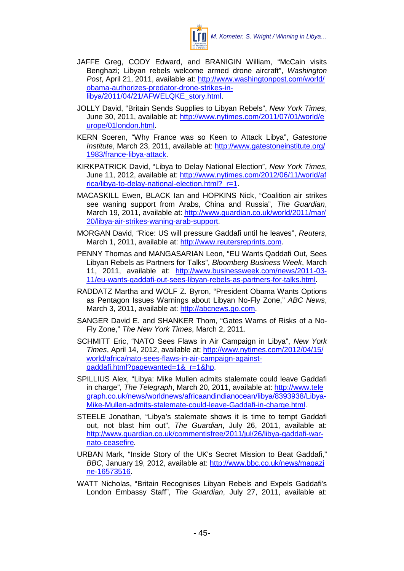

- JAFFE Greg, CODY Edward, and BRANIGIN William, "McCain visits Benghazi; Libyan rebels welcome armed drone aircraft", *Washington Post*, April 21, 2011, available at: [http://www.washingtonpost.com/world/](http://www.washingtonpost.com/world/obama-authorizes-predator-drone-strikes-in-libya/2011/04/21/AFWELQKE_story.html) [obama-authorizes-predator-drone-strikes-in](http://www.washingtonpost.com/world/obama-authorizes-predator-drone-strikes-in-libya/2011/04/21/AFWELQKE_story.html)[libya/2011/04/21/AFWELQKE\\_story.html.](http://www.washingtonpost.com/world/obama-authorizes-predator-drone-strikes-in-libya/2011/04/21/AFWELQKE_story.html)
- JOLLY David, "Britain Sends Supplies to Libyan Rebels", *New York Times*, June 30, 2011, available at: [http://www.nytimes.com/2011/07/01/world/e](http://www.nytimes.com/2011/07/01/world/europe/01london.html) [urope/01london.html.](http://www.nytimes.com/2011/07/01/world/europe/01london.html)
- KERN Soeren, "Why France was so Keen to Attack Libya", *Gatestone Institute*, March 23, 2011, available at: [http://www.gatestoneinstitute.org/](http://www.gatestoneinstitute.org/1983/france-libya-attack) [1983/france-libya-attack.](http://www.gatestoneinstitute.org/1983/france-libya-attack)
- KIRKPATRICK David, "Libya to Delay National Election", *New York Times*, June 11, 2012, available at: [http://www.nytimes.com/2012/06/11/world/af](http://www.nytimes.com/2012/06/11/world/africa/libya-to-delay-national-election.html?_r=1) rica/libya-to-delay-national-election.html? r=1.
- MACASKILL Ewen, BLACK Ian and HOPKINS Nick, "Coalition air strikes see waning support from Arabs, China and Russia", *The Guardian*, March 19, 2011, available at: [http://www.guardian.co.uk/world/2011/mar/](http://www.guardian.co.uk/world/2011/mar/20/libya-air-strikes-waning-arab-support) [20/libya-air-strikes-waning-arab-support.](http://www.guardian.co.uk/world/2011/mar/20/libya-air-strikes-waning-arab-support)
- MORGAN David, "Rice: US will pressure Gaddafi until he leaves", *Reuters*, March 1, 2011, available at: [http://www.reutersreprints.com.](http://www.reutersreprints.com/)
- PENNY Thomas and MANGASARIAN Leon, "EU Wants Qaddafi Out, Sees Libyan Rebels as Partners for Talks", *Bloomberg Business Week*, March 11, 2011, available at: [http://www.businessweek.com/news/2011-03-](http://www.businessweek.com/news/2011-03-11/eu-wants-qaddafi-out-sees-libyan-rebels-as-partners-for-talks.html) [11/eu-wants-qaddafi-out-sees-libyan-rebels-as-partners-for-talks.html.](http://www.businessweek.com/news/2011-03-11/eu-wants-qaddafi-out-sees-libyan-rebels-as-partners-for-talks.html)
- RADDATZ Martha and WOLF Z. Byron, "President Obama Wants Options as Pentagon Issues Warnings about Libyan No-Fly Zone," *ABC News*, March 3, 2011, available at: [http://abcnews.go.com.](http://abcnews.go.com/)
- SANGER David E. and SHANKER Thom, "Gates Warns of Risks of a No-Fly Zone," *The New York Times*, March 2, 2011.
- SCHMITT Eric, "NATO Sees Flaws in Air Campaign in Libya", *New York Times*, April 14, 2012, available at; [http://www.nytimes.com/2012/04/15/](http://www.nytimes.com/2012/04/15/world/africa/nato-sees-flaws-in-air-campaign-against-qaddafi.html?pagewanted=1&_r=1&hp) [world/africa/nato-sees-flaws-in-air-campaign-against](http://www.nytimes.com/2012/04/15/world/africa/nato-sees-flaws-in-air-campaign-against-qaddafi.html?pagewanted=1&_r=1&hp)[qaddafi.html?pagewanted=1&\\_r=1&hp.](http://www.nytimes.com/2012/04/15/world/africa/nato-sees-flaws-in-air-campaign-against-qaddafi.html?pagewanted=1&_r=1&hp)
- SPILLIUS Alex, "Libya: Mike Mullen admits stalemate could leave Gaddafi in charge", *The Telegraph*, March 20, 2011, available at: [http://www.tele](http://www.telegraph.co.uk/news/worldnews/africaandindianocean/libya/8393938/Libya-Mike-Mullen-admits-stalemate-could-leave-Gaddafi-in-charge.html) [graph.co.uk/news/worldnews/africaandindianocean/libya/8393938/Libya-](http://www.telegraph.co.uk/news/worldnews/africaandindianocean/libya/8393938/Libya-Mike-Mullen-admits-stalemate-could-leave-Gaddafi-in-charge.html)[Mike-Mullen-admits-stalemate-could-leave-Gaddafi-in-charge.html.](http://www.telegraph.co.uk/news/worldnews/africaandindianocean/libya/8393938/Libya-Mike-Mullen-admits-stalemate-could-leave-Gaddafi-in-charge.html)
- STEELE Jonathan, "Libya's stalemate shows it is time to tempt Gaddafi out, not blast him out", *The Guardian*, July 26, 2011, available at: [http://www.guardian.co.uk/commentisfree/2011/jul/26/libya-gaddafi-war](http://www.guardian.co.uk/commentisfree/2011/jul/26/libya-gaddafi-war-nato-ceasefire)[nato-ceasefire.](http://www.guardian.co.uk/commentisfree/2011/jul/26/libya-gaddafi-war-nato-ceasefire)
- URBAN Mark, "Inside Story of the UK's Secret Mission to Beat Gaddafi," *BBC*, January 19, 2012, available at: [http://www.bbc.co.uk/news/magazi](http://www.bbc.co.uk/news/magazine-16573516) [ne-16573516.](http://www.bbc.co.uk/news/magazine-16573516)
- WATT Nicholas, "Britain Recognises Libyan Rebels and Expels Gaddafi's London Embassy Staff", *The Guardian*, July 27, 2011, available at: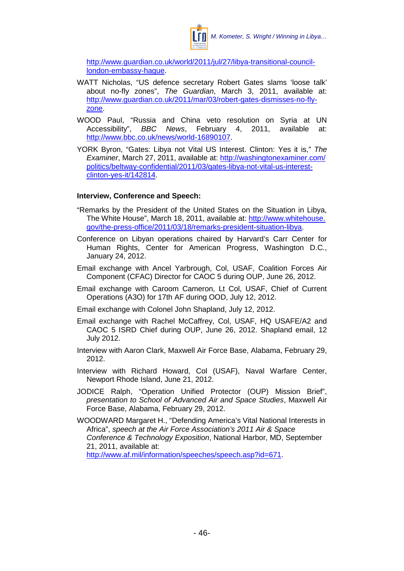

[http://www.guardian.co.uk/world/2011/jul/27/libya-transitional-council](http://www.guardian.co.uk/world/2011/jul/27/libya-transitional-council-london-embassy-hague)[london-embassy-hague.](http://www.guardian.co.uk/world/2011/jul/27/libya-transitional-council-london-embassy-hague)

- WATT Nicholas, "US defence secretary Robert Gates slams 'loose talk' about no-fly zones", *The Guardian*, March 3, 2011, available at: [http://www.guardian.co.uk/2011/mar/03/robert-gates-dismisses-no-fly](http://www.guardian.co.uk/2011/mar/03/robert-gates-dismisses-no-fly-zone)[zone.](http://www.guardian.co.uk/2011/mar/03/robert-gates-dismisses-no-fly-zone)
- WOOD Paul, "Russia and China veto resolution on Syria at UN Accessibility", *BBC News*, February 4, 2011, available at: [http://www.bbc.co.uk/news/world-16890107.](http://www.bbc.co.uk/news/world-16890107)
- YORK Byron, "Gates: Libya not Vital US Interest. Clinton: Yes it is," *The Examiner*, March 27, 2011, available at: [http://washingtonexaminer.com/](http://washingtonexaminer.com/politics/beltway-confidential/2011/03/gates-libya-not-vital-us-interest-clinton-yes-it/142814) [politics/beltway-confidential/2011/03/gates-libya-not-vital-us-interest](http://washingtonexaminer.com/politics/beltway-confidential/2011/03/gates-libya-not-vital-us-interest-clinton-yes-it/142814)[clinton-yes-it/142814.](http://washingtonexaminer.com/politics/beltway-confidential/2011/03/gates-libya-not-vital-us-interest-clinton-yes-it/142814)

#### **Interview, Conference and Speech:**

- "Remarks by the President of the United States on the Situation in Libya, The White House", March 18, 2011, available at: [http://www.whitehouse.](http://www.whitehouse.gov/the-press-office/2011/03/18/remarks-president-situation-libya) [gov/the-press-office/2011/03/18/remarks-president-situation-libya.](http://www.whitehouse.gov/the-press-office/2011/03/18/remarks-president-situation-libya)
- Conference on Libyan operations chaired by Harvard's Carr Center for Human Rights, Center for American Progress, Washington D.C., January 24, 2012.
- Email exchange with Ancel Yarbrough, Col, USAF, Coalition Forces Air Component (CFAC) Director for CAOC 5 during OUP, June 26, 2012.
- Email exchange with Caroom Cameron, Lt Col, USAF, Chief of Current Operations (A3O) for 17th AF during OOD, July 12, 2012.
- Email exchange with Colonel John Shapland, July 12, 2012.
- Email exchange with Rachel McCaffrey, Col, USAF, HQ USAFE/A2 and CAOC 5 ISRD Chief during OUP, June 26, 2012. Shapland email, 12 July 2012.
- Interview with Aaron Clark, Maxwell Air Force Base, Alabama, February 29, 2012.
- Interview with Richard Howard, Col (USAF), Naval Warfare Center, Newport Rhode Island, June 21, 2012.
- JODICE Ralph, "Operation Unified Protector (OUP) Mission Brief", *presentation to School of Advanced Air and Space Studies*, Maxwell Air Force Base, Alabama, February 29, 2012.
- WOODWARD Margaret H., "Defending America's Vital National Interests in Africa", *speech at the Air Force Association's 2011 Air & Space Conference & Technology Exposition*, National Harbor, MD, September 21, 2011, available at:

[http://www.af.mil/information/speeches/speech.asp?id=671.](http://www.af.mil/information/speeches/speech.asp?id=671)